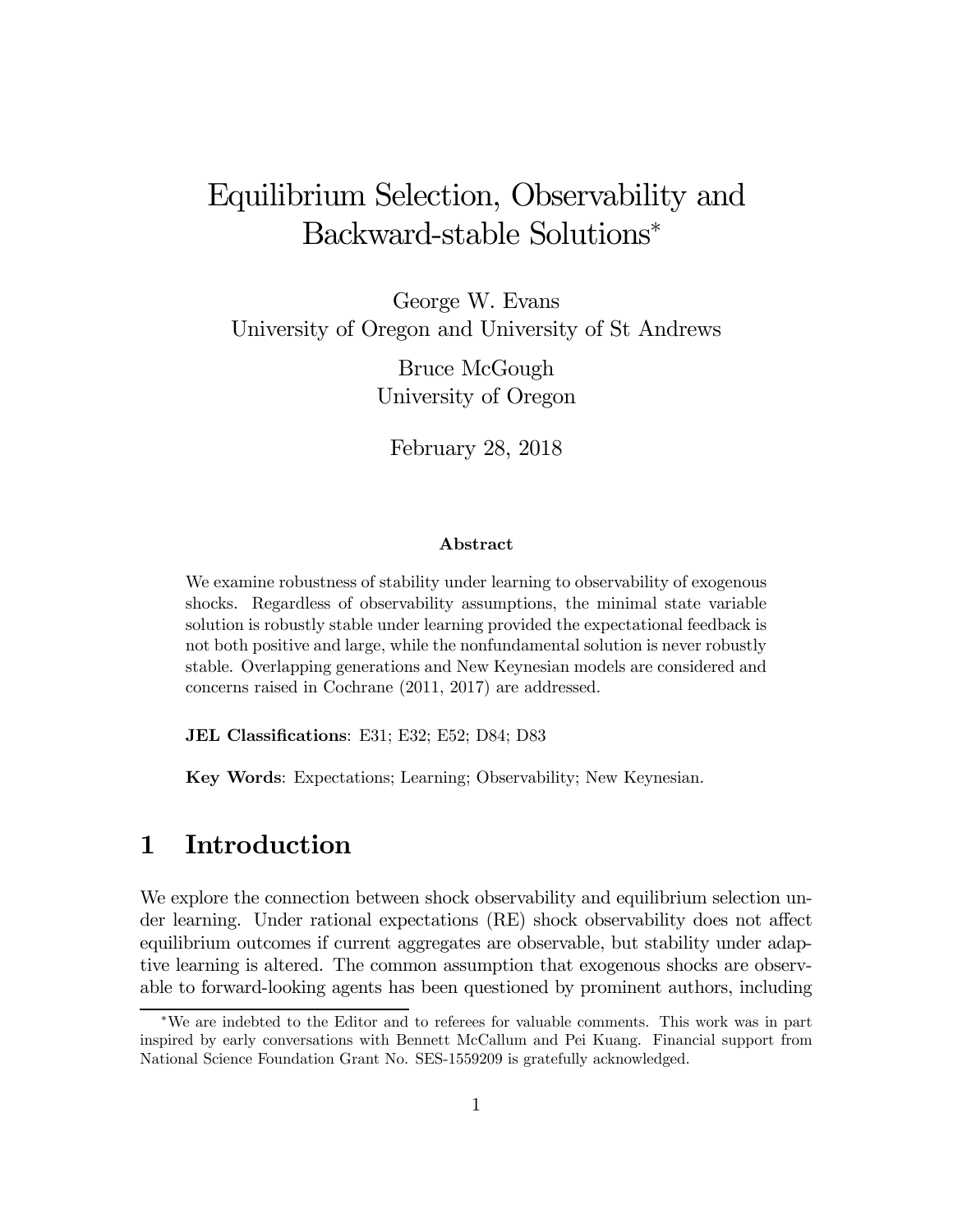# Equilibrium Selection, Observability and Backward-stable Solutions<sup>∗</sup>

George W. Evans University of Oregon and University of St Andrews

> Bruce McGough University of Oregon

February 28, 2018

#### Abstract

We examine robustness of stability under learning to observability of exogenous shocks. Regardless of observability assumptions, the minimal state variable solution is robustly stable under learning provided the expectational feedback is not both positive and large, while the nonfundamental solution is never robustly stable. Overlapping generations and New Keynesian models are considered and concerns raised in Cochrane (2011, 2017) are addressed.

JEL Classifications: E31; E32; E52; D84; D83

Key Words: Expectations; Learning; Observability; New Keynesian.

### 1 Introduction

We explore the connection between shock observability and equilibrium selection under learning. Under rational expectations (RE) shock observability does not affect equilibrium outcomes if current aggregates are observable, but stability under adaptive learning is altered. The common assumption that exogenous shocks are observable to forward-looking agents has been questioned by prominent authors, including

<sup>∗</sup>We are indebted to the Editor and to referees for valuable comments. This work was in part inspired by early conversations with Bennett McCallum and Pei Kuang. Financial support from National Science Foundation Grant No. SES-1559209 is gratefully acknowledged.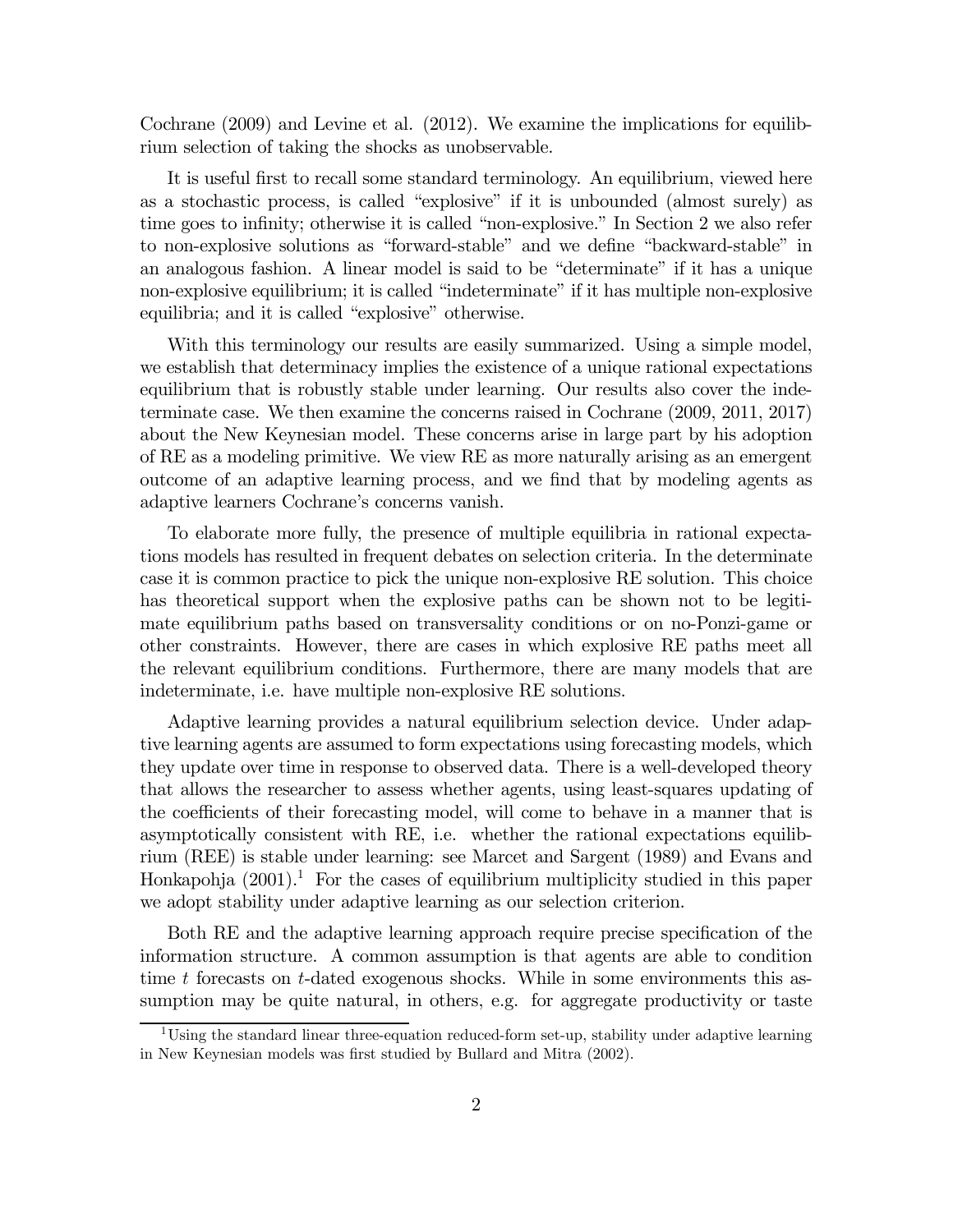Cochrane (2009) and Levine et al. (2012). We examine the implications for equilibrium selection of taking the shocks as unobservable.

It is useful first to recall some standard terminology. An equilibrium, viewed here as a stochastic process, is called "explosive" if it is unbounded (almost surely) as time goes to infinity; otherwise it is called "non-explosive." In Section 2 we also refer to non-explosive solutions as "forward-stable" and we define "backward-stable" in an analogous fashion. A linear model is said to be "determinate" if it has a unique non-explosive equilibrium; it is called "indeterminate" if it has multiple non-explosive equilibria; and it is called "explosive" otherwise.

With this terminology our results are easily summarized. Using a simple model, we establish that determinacy implies the existence of a unique rational expectations equilibrium that is robustly stable under learning. Our results also cover the indeterminate case. We then examine the concerns raised in Cochrane (2009, 2011, 2017) about the New Keynesian model. These concerns arise in large part by his adoption of RE as a modeling primitive. We view RE as more naturally arising as an emergent outcome of an adaptive learning process, and we find that by modeling agents as adaptive learners Cochrane's concerns vanish.

To elaborate more fully, the presence of multiple equilibria in rational expectations models has resulted in frequent debates on selection criteria. In the determinate case it is common practice to pick the unique non-explosive RE solution. This choice has theoretical support when the explosive paths can be shown not to be legitimate equilibrium paths based on transversality conditions or on no-Ponzi-game or other constraints. However, there are cases in which explosive RE paths meet all the relevant equilibrium conditions. Furthermore, there are many models that are indeterminate, i.e. have multiple non-explosive RE solutions.

Adaptive learning provides a natural equilibrium selection device. Under adaptive learning agents are assumed to form expectations using forecasting models, which they update over time in response to observed data. There is a well-developed theory that allows the researcher to assess whether agents, using least-squares updating of the coefficients of their forecasting model, will come to behave in a manner that is asymptotically consistent with RE, i.e. whether the rational expectations equilibrium (REE) is stable under learning: see Marcet and Sargent (1989) and Evans and Honkapohja  $(2001)^{1}$ . For the cases of equilibrium multiplicity studied in this paper we adopt stability under adaptive learning as our selection criterion.

Both RE and the adaptive learning approach require precise specification of the information structure. A common assumption is that agents are able to condition time  $t$  forecasts on  $t$ -dated exogenous shocks. While in some environments this assumption may be quite natural, in others, e.g. for aggregate productivity or taste

<sup>&</sup>lt;sup>1</sup>Using the standard linear three-equation reduced-form set-up, stability under adaptive learning in New Keynesian models was first studied by Bullard and Mitra (2002).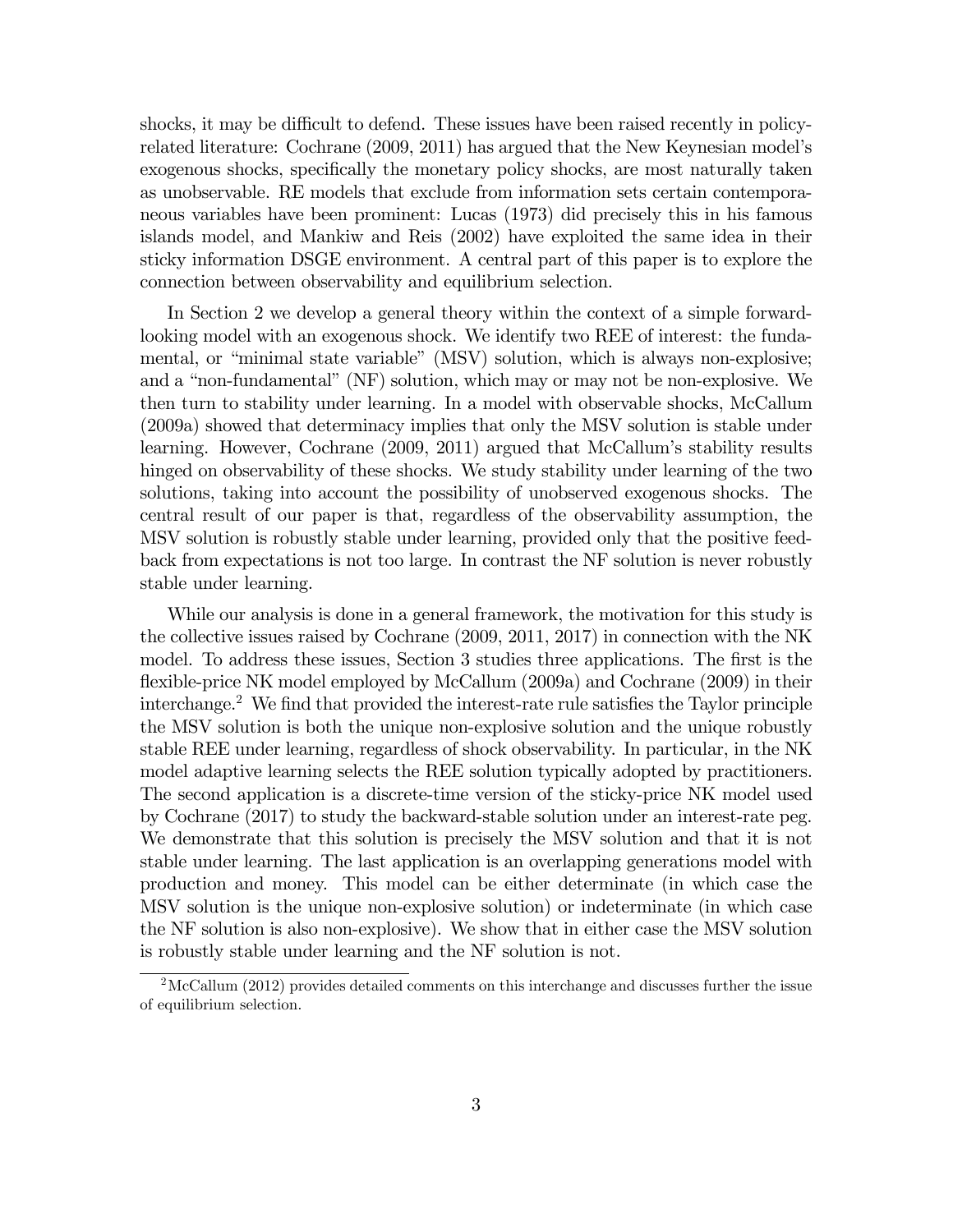shocks, it may be difficult to defend. These issues have been raised recently in policyrelated literature: Cochrane (2009, 2011) has argued that the New Keynesian model's exogenous shocks, specifically the monetary policy shocks, are most naturally taken as unobservable. RE models that exclude from information sets certain contemporaneous variables have been prominent: Lucas (1973) did precisely this in his famous islands model, and Mankiw and Reis (2002) have exploited the same idea in their sticky information DSGE environment. A central part of this paper is to explore the connection between observability and equilibrium selection.

In Section 2 we develop a general theory within the context of a simple forwardlooking model with an exogenous shock. We identify two REE of interest: the fundamental, or "minimal state variable" (MSV) solution, which is always non-explosive; and a "non-fundamental" (NF) solution, which may or may not be non-explosive. We then turn to stability under learning. In a model with observable shocks, McCallum (2009a) showed that determinacy implies that only the MSV solution is stable under learning. However, Cochrane (2009, 2011) argued that McCallum's stability results hinged on observability of these shocks. We study stability under learning of the two solutions, taking into account the possibility of unobserved exogenous shocks. The central result of our paper is that, regardless of the observability assumption, the MSV solution is robustly stable under learning, provided only that the positive feedback from expectations is not too large. In contrast the NF solution is never robustly stable under learning.

While our analysis is done in a general framework, the motivation for this study is the collective issues raised by Cochrane (2009, 2011, 2017) in connection with the NK model. To address these issues, Section 3 studies three applications. The first is the flexible-price NK model employed by McCallum (2009a) and Cochrane (2009) in their interchange.<sup>2</sup> We find that provided the interest-rate rule satisfies the Taylor principle the MSV solution is both the unique non-explosive solution and the unique robustly stable REE under learning, regardless of shock observability. In particular, in the NK model adaptive learning selects the REE solution typically adopted by practitioners. The second application is a discrete-time version of the sticky-price NK model used by Cochrane (2017) to study the backward-stable solution under an interest-rate peg. We demonstrate that this solution is precisely the MSV solution and that it is not stable under learning. The last application is an overlapping generations model with production and money. This model can be either determinate (in which case the MSV solution is the unique non-explosive solution) or indeterminate (in which case the NF solution is also non-explosive). We show that in either case the MSV solution is robustly stable under learning and the NF solution is not.

<sup>&</sup>lt;sup>2</sup>McCallum (2012) provides detailed comments on this interchange and discusses further the issue of equilibrium selection.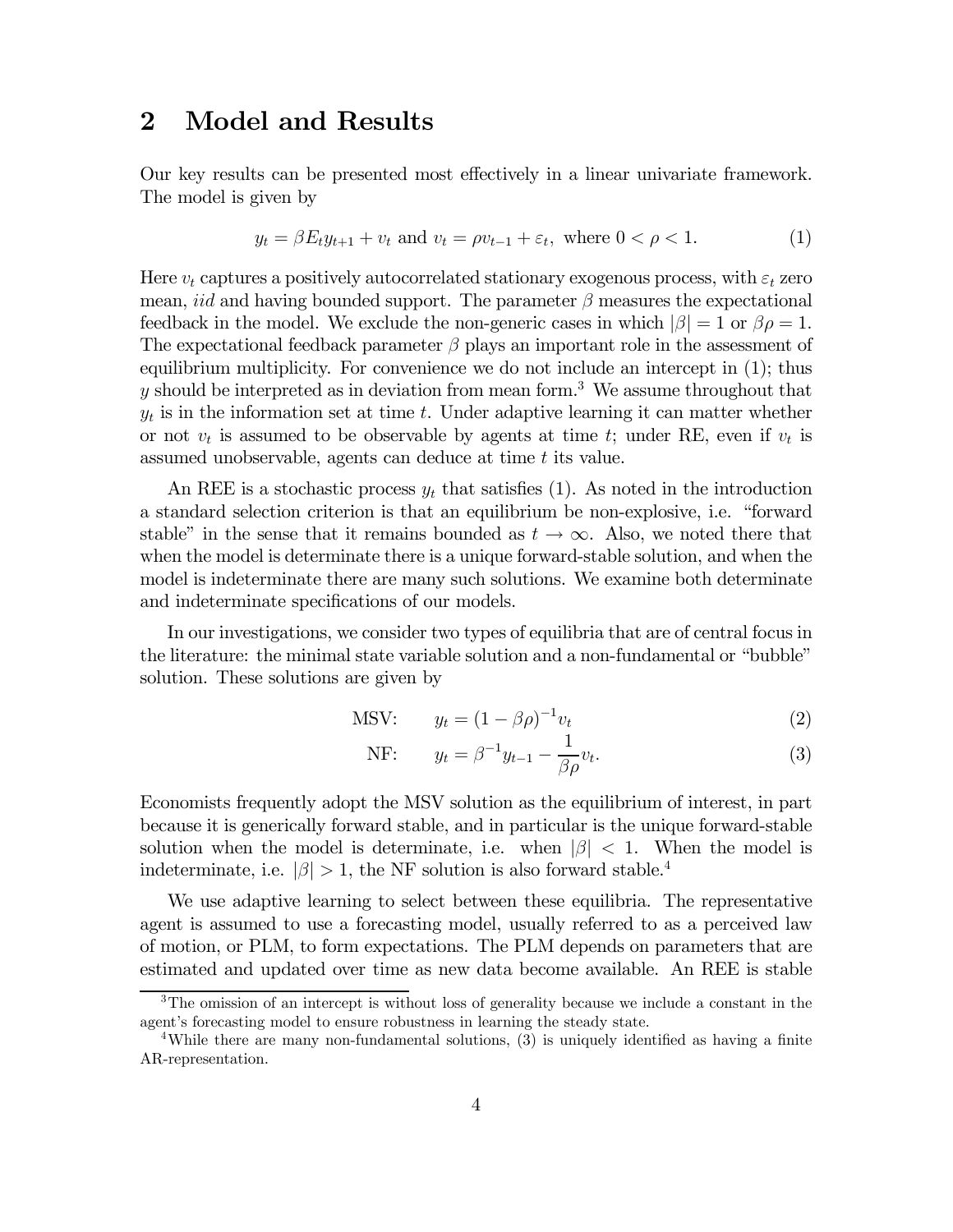### 2 Model and Results

Our key results can be presented most effectively in a linear univariate framework. The model is given by

$$
y_t = \beta E_t y_{t+1} + v_t
$$
 and  $v_t = \rho v_{t-1} + \varepsilon_t$ , where  $0 < \rho < 1$ . (1)

Here  $v_t$  captures a positively autocorrelated stationary exogenous process, with  $\varepsilon_t$  zero mean, *iid* and having bounded support. The parameter  $\beta$  measures the expectational feedback in the model. We exclude the non-generic cases in which  $|\beta| = 1$  or  $\beta \rho = 1$ . The expectational feedback parameter  $\beta$  plays an important role in the assessment of equilibrium multiplicity. For convenience we do not include an intercept in (1); thus  $y$  should be interpreted as in deviation from mean form.<sup>3</sup> We assume throughout that  $y_t$  is in the information set at time t. Under adaptive learning it can matter whether or not  $v_t$  is assumed to be observable by agents at time t; under RE, even if  $v_t$  is assumed unobservable, agents can deduce at time  $t$  its value.

An REE is a stochastic process  $y_t$  that satisfies (1). As noted in the introduction a standard selection criterion is that an equilibrium be non-explosive, i.e. "forward stable" in the sense that it remains bounded as  $t \to \infty$ . Also, we noted there that when the model is determinate there is a unique forward-stable solution, and when the model is indeterminate there are many such solutions. We examine both determinate and indeterminate specifications of our models.

In our investigations, we consider two types of equilibria that are of central focus in the literature: the minimal state variable solution and a non-fundamental or "bubble" solution. These solutions are given by

$$
\text{MSV:} \qquad y_t = (1 - \beta \rho)^{-1} v_t \tag{2}
$$

NF: 
$$
y_t = \beta^{-1} y_{t-1} - \frac{1}{\beta \rho} v_t.
$$
 (3)

Economists frequently adopt the MSV solution as the equilibrium of interest, in part because it is generically forward stable, and in particular is the unique forward-stable solution when the model is determinate, i.e. when  $|\beta| < 1$ . When the model is indeterminate, i.e.  $|\beta| > 1$ , the NF solution is also forward stable.<sup>4</sup>

We use adaptive learning to select between these equilibria. The representative agent is assumed to use a forecasting model, usually referred to as a perceived law of motion, or PLM, to form expectations. The PLM depends on parameters that are estimated and updated over time as new data become available. An REE is stable

<sup>&</sup>lt;sup>3</sup>The omission of an intercept is without loss of generality because we include a constant in the agent's forecasting model to ensure robustness in learning the steady state.

<sup>&</sup>lt;sup>4</sup>While there are many non-fundamental solutions, (3) is uniquely identified as having a finite AR-representation.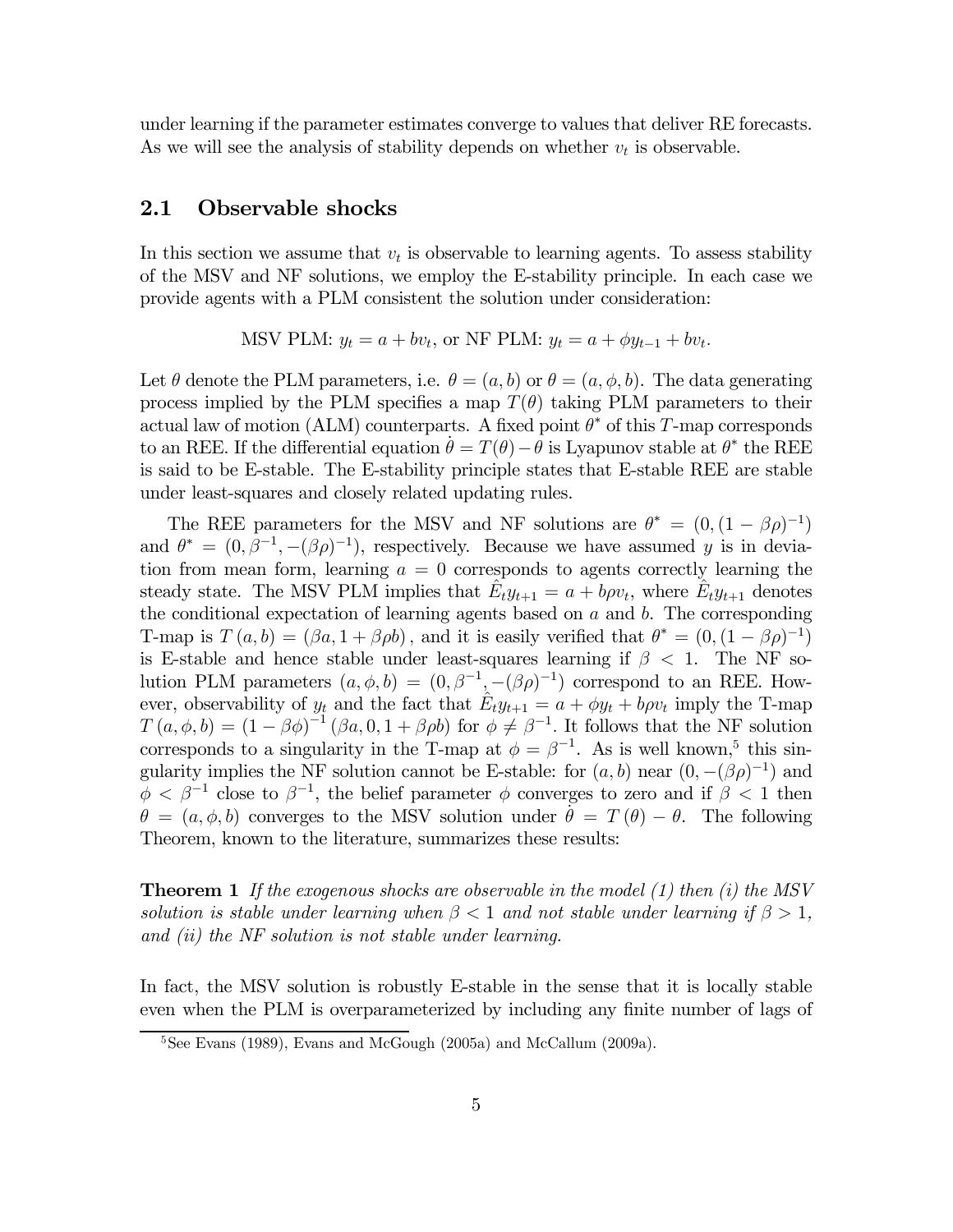under learning if the parameter estimates converge to values that deliver RE forecasts. As we will see the analysis of stability depends on whether  $v_t$  is observable.

#### 2.1 Observable shocks

In this section we assume that  $v_t$  is observable to learning agents. To assess stability of the MSV and NF solutions, we employ the E-stability principle. In each case we provide agents with a PLM consistent the solution under consideration:

MSV PLM:  $y_t = a + bv_t$ , or NF PLM:  $y_t = a + \phi y_{t-1} + bv_t$ .

Let  $\theta$  denote the PLM parameters, i.e.  $\theta = (a, b)$  or  $\theta = (a, \phi, b)$ . The data generating process implied by the PLM specifies a map  $T(\theta)$  taking PLM parameters to their actual law of motion (ALM) counterparts. A fixed point  $\theta^*$  of this T-map corresponds to an REE. If the differential equation  $\dot{\theta} = T(\theta) - \dot{\theta}$  is Lyapunov stable at  $\theta^*$  the REE is said to be E-stable. The E-stability principle states that E-stable REE are stable under least-squares and closely related updating rules.

The REE parameters for the MSV and NF solutions are  $\theta^* = (0, (1 - \beta \rho)^{-1})$ and  $\theta^* = (0, \beta^{-1}, -(\beta \rho)^{-1})$ , respectively. Because we have assumed y is in deviation from mean form, learning  $a = 0$  corresponds to agents correctly learning the steady state. The MSV PLM implies that  $\hat{E}_t y_{t+1} = a + b \rho v_t$ , where  $\hat{E}_t y_{t+1}$  denotes the conditional expectation of learning agents based on  $a$  and  $b$ . The corresponding T-map is  $T (a, b) = (\beta a, 1 + \beta \rho b)$ , and it is easily verified that  $\theta^* = (0, (1 - \beta \rho)^{-1})$ is E-stable and hence stable under least-squares learning if  $\beta$  < 1. The NF solution PLM parameters  $(a, \phi, b) = (0, \beta^{-1}, -(\beta \rho)^{-1})$  correspond to an REE. However, observability of  $y_t$  and the fact that  $\hat{E}_t y_{t+1} = a + \phi y_t + b \rho v_t$  imply the T-map  $T(a, \phi, b) = (1 - \beta \phi)^{-1} (\beta a, 0, 1 + \beta \rho b)$  for  $\phi \neq \beta^{-1}$ . It follows that the NF solution corresponds to a singularity in the T-map at  $\phi = \beta^{-1}$ . As is well known,<sup>5</sup> this singularity implies the NF solution cannot be E-stable: for  $(a, b)$  near  $(0, -(\beta \rho)^{-1})$  and  $\phi < \beta^{-1}$  close to  $\beta^{-1}$ , the belief parameter  $\phi$  converges to zero and if  $\beta < 1$  then  $\theta = (a, \phi, b)$  converges to the MSV solution under  $\dot{\theta} = T(\theta) - \theta$ . The following Theorem, known to the literature, summarizes these results:

**Theorem 1** If the exogenous shocks are observable in the model  $(1)$  then  $(i)$  the MSV solution is stable under learning when  $\beta < 1$  and not stable under learning if  $\beta > 1$ , and (ii) the NF solution is not stable under learning.

In fact, the MSV solution is robustly E-stable in the sense that it is locally stable even when the PLM is overparameterized by including any finite number of lags of

<sup>&</sup>lt;sup>5</sup>See Evans (1989), Evans and McGough (2005a) and McCallum (2009a).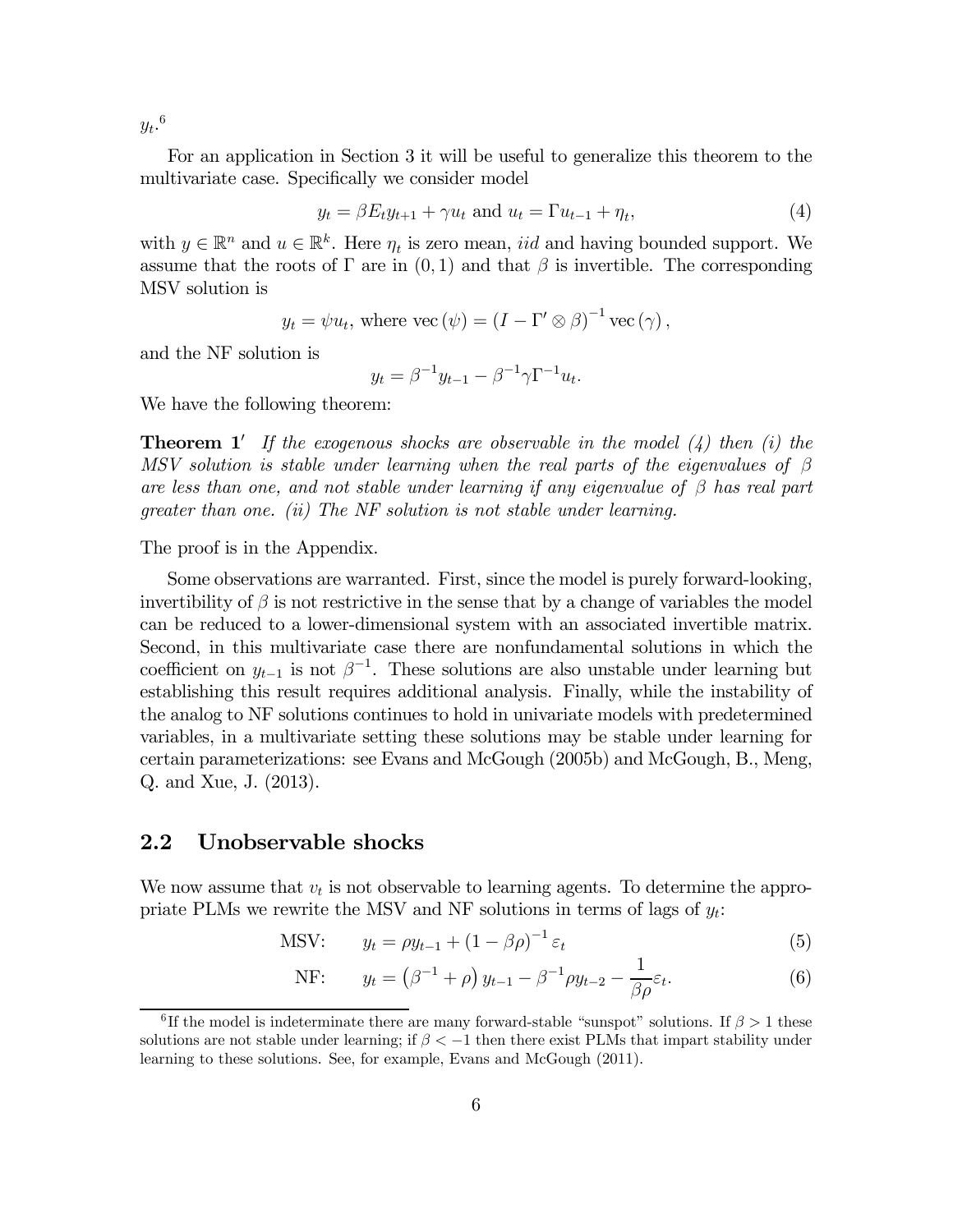$y_t$ .<sup>6</sup>

For an application in Section 3 it will be useful to generalize this theorem to the multivariate case. Specifically we consider model

$$
y_t = \beta E_t y_{t+1} + \gamma u_t \text{ and } u_t = \Gamma u_{t-1} + \eta_t,
$$
\n
$$
\tag{4}
$$

with  $y \in \mathbb{R}^n$  and  $u \in \mathbb{R}^k$ . Here  $\eta_t$  is zero mean, *iid* and having bounded support. We assume that the roots of  $\Gamma$  are in  $(0, 1)$  and that  $\beta$  is invertible. The corresponding MSV solution is

$$
y_t = \psi u_t
$$
, where vec  $(\psi) = (I - \Gamma' \otimes \beta)^{-1}$  vec  $(\gamma)$ ,

and the NF solution is

$$
y_t = \beta^{-1} y_{t-1} - \beta^{-1} \gamma \Gamma^{-1} u_t.
$$

We have the following theorem:

**Theorem 1'** If the exogenous shocks are observable in the model  $(4)$  then  $(i)$  then MSV solution is stable under learning when the real parts of the eigenvalues of  $\beta$ are less than one, and not stable under learning if any eigenvalue of  $\beta$  has real part greater than one. (ii) The NF solution is not stable under learning.

The proof is in the Appendix.

Some observations are warranted. First, since the model is purely forward-looking, invertibility of  $\beta$  is not restrictive in the sense that by a change of variables the model can be reduced to a lower-dimensional system with an associated invertible matrix. Second, in this multivariate case there are nonfundamental solutions in which the coefficient on  $y_{t-1}$  is not  $\beta^{-1}$ . These solutions are also unstable under learning but establishing this result requires additional analysis. Finally, while the instability of the analog to NF solutions continues to hold in univariate models with predetermined variables, in a multivariate setting these solutions may be stable under learning for certain parameterizations: see Evans and McGough (2005b) and McGough, B., Meng, Q. and Xue, J. (2013).

#### 2.2 Unobservable shocks

We now assume that  $v_t$  is not observable to learning agents. To determine the appropriate PLMs we rewrite the MSV and NF solutions in terms of lags of  $y_t$ :

$$
\text{MSV:} \qquad y_t = \rho y_{t-1} + (1 - \beta \rho)^{-1} \varepsilon_t \tag{5}
$$

NF: 
$$
y_t = (\beta^{-1} + \rho) y_{t-1} - \beta^{-1} \rho y_{t-2} - \frac{1}{\beta \rho} \varepsilon_t.
$$
 (6)

<sup>&</sup>lt;sup>6</sup>If the model is indeterminate there are many forward-stable "sunspot" solutions. If  $\beta > 1$  these solutions are not stable under learning; if  $\beta < -1$  then there exist PLMs that impart stability under learning to these solutions. See, for example, Evans and McGough (2011).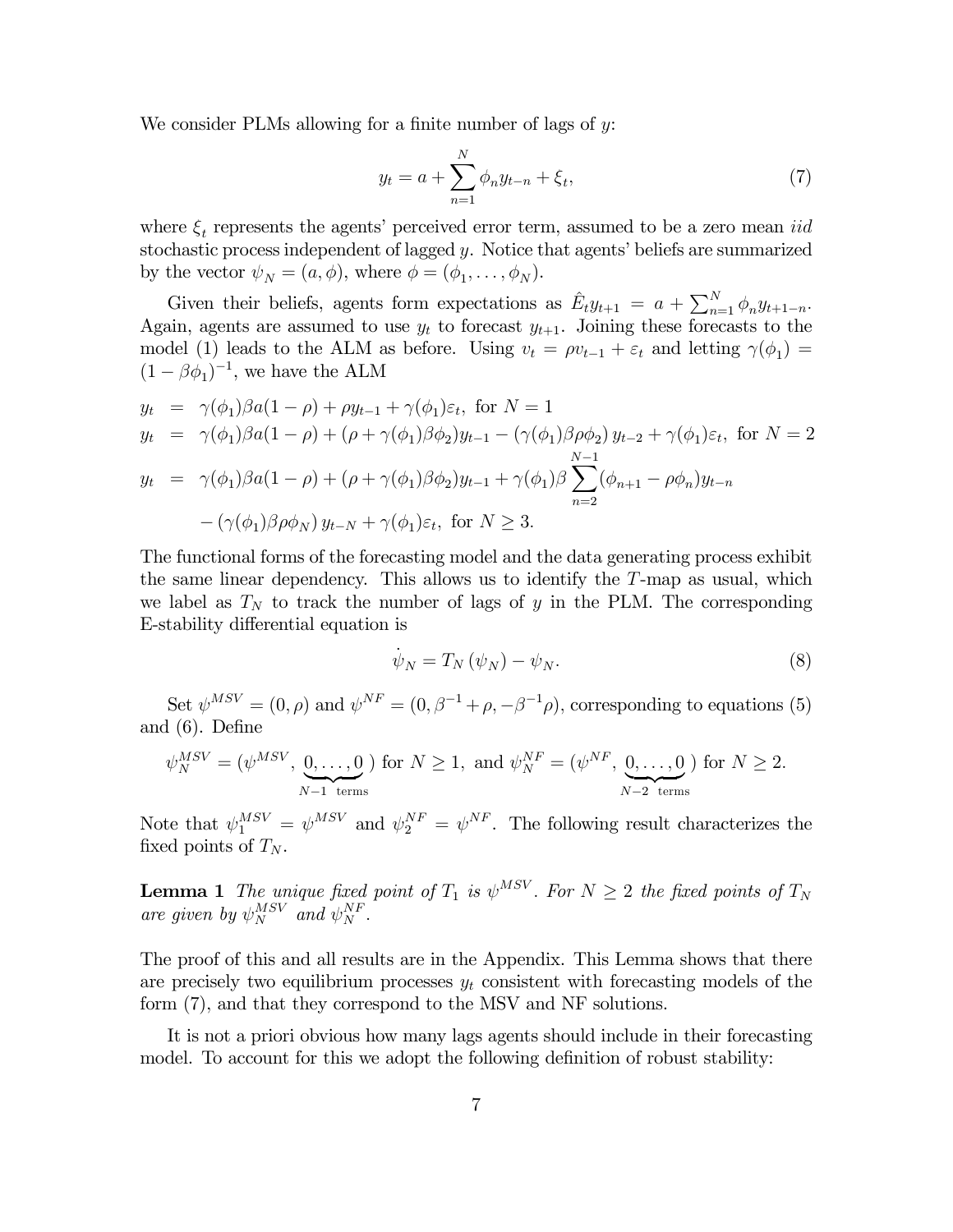We consider PLMs allowing for a finite number of lags of  $y$ .

$$
y_t = a + \sum_{n=1}^{N} \phi_n y_{t-n} + \xi_t,
$$
\n(7)

where  $\xi_t$  represents the agents' perceived error term, assumed to be a zero mean *iid* stochastic process independent of lagged  $y$ . Notice that agents' beliefs are summarized by the vector  $\psi_N = (a, \phi)$ , where  $\phi = (\phi_1, \dots, \phi_N)$ .

Given their beliefs, agents form expectations as  $\hat{E}_t y_{t+1} = a + \sum_{n=1}^{N} \phi_n y_{t+1-n}$ . Again, agents are assumed to use  $y_t$  to forecast  $y_{t+1}$ . Joining these forecasts to the model (1) leads to the ALM as before. Using  $v_t = \rho v_{t-1} + \varepsilon_t$  and letting  $\gamma(\phi_1) =$  $(1 - \beta \phi_1)^{-1}$ , we have the ALM

$$
y_t = \gamma(\phi_1)\beta a(1-\rho) + \rho y_{t-1} + \gamma(\phi_1)\varepsilon_t, \text{ for } N = 1
$$
  
\n
$$
y_t = \gamma(\phi_1)\beta a(1-\rho) + (\rho + \gamma(\phi_1)\beta\phi_2)y_{t-1} - (\gamma(\phi_1)\beta\rho\phi_2)y_{t-2} + \gamma(\phi_1)\varepsilon_t, \text{ for } N = 2
$$
  
\n
$$
y_t = \gamma(\phi_1)\beta a(1-\rho) + (\rho + \gamma(\phi_1)\beta\phi_2)y_{t-1} + \gamma(\phi_1)\beta \sum_{n=2}^{N-1} (\phi_{n+1} - \rho\phi_n)y_{t-n}
$$
  
\n
$$
-(\gamma(\phi_1)\beta\rho\phi_N)y_{t-N} + \gamma(\phi_1)\varepsilon_t, \text{ for } N \ge 3.
$$

The functional forms of the forecasting model and the data generating process exhibit the same linear dependency. This allows us to identify the  $T$ -map as usual, which we label as  $T_N$  to track the number of lags of  $y$  in the PLM. The corresponding E-stability differential equation is

$$
\dot{\psi}_N = T_N \left( \psi_N \right) - \psi_N. \tag{8}
$$

Set  $\psi^{MSV} = (0, \rho)$  and  $\psi^{NF} = (0, \beta^{-1} + \rho, -\beta^{-1}\rho)$ , corresponding to equations (5) and (6). Define

$$
\psi_N^{MSV} = (\psi^{MSV}, \underbrace{0, \dots, 0}_{N-1 \text{ terms}}) \text{ for } N \ge 1, \text{ and } \psi_N^{NF} = (\psi^{NF}, \underbrace{0, \dots, 0}_{N-2 \text{ terms}}) \text{ for } N \ge 2.
$$

Note that  $\psi_1^{MSV} = \psi^{MSV}$  and  $\psi_2^{NF} = \psi^{NF}$ . The following result characterizes the fixed points of  $T_N$ .

**Lemma 1** The unique fixed point of  $T_1$  is  $\psi^{MSV}$ . For  $N \geq 2$  the fixed points of  $T_N$ are given by  $\psi_N^{MSV}$  and  $\psi_N^{NF}$ .

The proof of this and all results are in the Appendix. This Lemma shows that there are precisely two equilibrium processes  $y_t$  consistent with forecasting models of the form (7), and that they correspond to the MSV and NF solutions.

It is not a priori obvious how many lags agents should include in their forecasting model. To account for this we adopt the following definition of robust stability: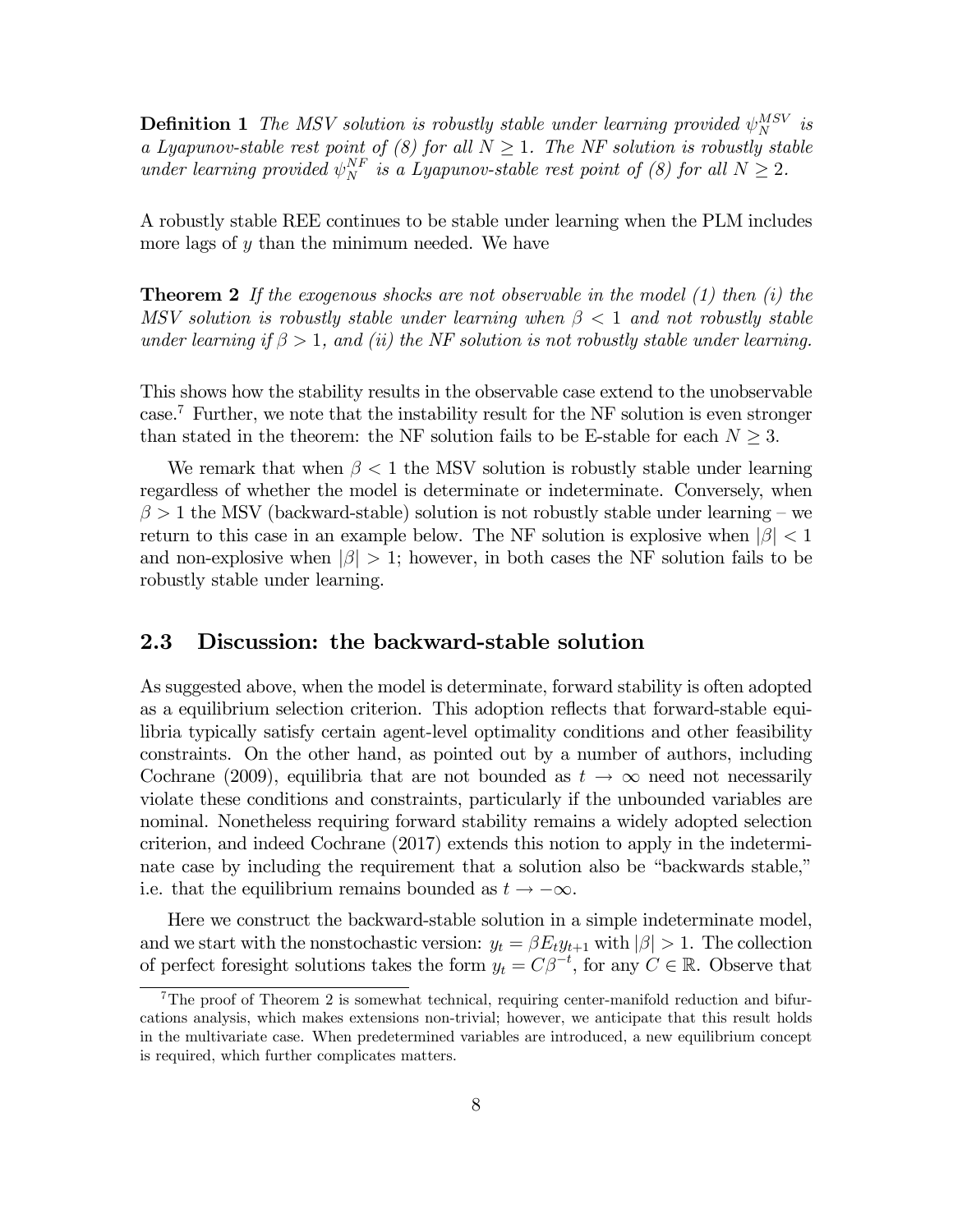**Definition 1** The MSV solution is robustly stable under learning provided  $\psi_N^{MSV}$  is a Lyapunov-stable rest point of (8) for all  $N \geq 1$ . The NF solution is robustly stable under learning provided  $\psi_N^{NF}$  is a Lyapunov-stable rest point of (8) for all  $N \geq 2$ .

A robustly stable REE continues to be stable under learning when the PLM includes more lags of  $y$  than the minimum needed. We have

**Theorem 2** If the exogenous shocks are not observable in the model  $(1)$  then  $(i)$  the MSV solution is robustly stable under learning when  $\beta < 1$  and not robustly stable under learning if  $\beta > 1$ , and (ii) the NF solution is not robustly stable under learning.

This shows how the stability results in the observable case extend to the unobservable case.7 Further, we note that the instability result for the NF solution is even stronger than stated in the theorem: the NF solution fails to be E-stable for each  $N \geq 3$ .

We remark that when  $\beta < 1$  the MSV solution is robustly stable under learning regardless of whether the model is determinate or indeterminate. Conversely, when  $\beta > 1$  the MSV (backward-stable) solution is not robustly stable under learning – we return to this case in an example below. The NF solution is explosive when  $|\beta| < 1$ and non-explosive when  $|\beta| > 1$ ; however, in both cases the NF solution fails to be robustly stable under learning.

#### 2.3 Discussion: the backward-stable solution

As suggested above, when the model is determinate, forward stability is often adopted as a equilibrium selection criterion. This adoption reflects that forward-stable equilibria typically satisfy certain agent-level optimality conditions and other feasibility constraints. On the other hand, as pointed out by a number of authors, including Cochrane (2009), equilibria that are not bounded as  $t \to \infty$  need not necessarily violate these conditions and constraints, particularly if the unbounded variables are nominal. Nonetheless requiring forward stability remains a widely adopted selection criterion, and indeed Cochrane (2017) extends this notion to apply in the indeterminate case by including the requirement that a solution also be "backwards stable," i.e. that the equilibrium remains bounded as  $t \to -\infty$ .

Here we construct the backward-stable solution in a simple indeterminate model, and we start with the nonstochastic version:  $y_t = \beta E_t y_{t+1}$  with  $|\beta| > 1$ . The collection of perfect foresight solutions takes the form  $y_t = C\beta^{-t}$ , for any  $C \in \mathbb{R}$ . Observe that

 $7\text{The proof of Theorem 2 is somewhat technical, requiring center-manifold reduction and bifur$ cations analysis, which makes extensions non-trivial; however, we anticipate that this result holds in the multivariate case. When predetermined variables are introduced, a new equilibrium concept is required, which further complicates matters.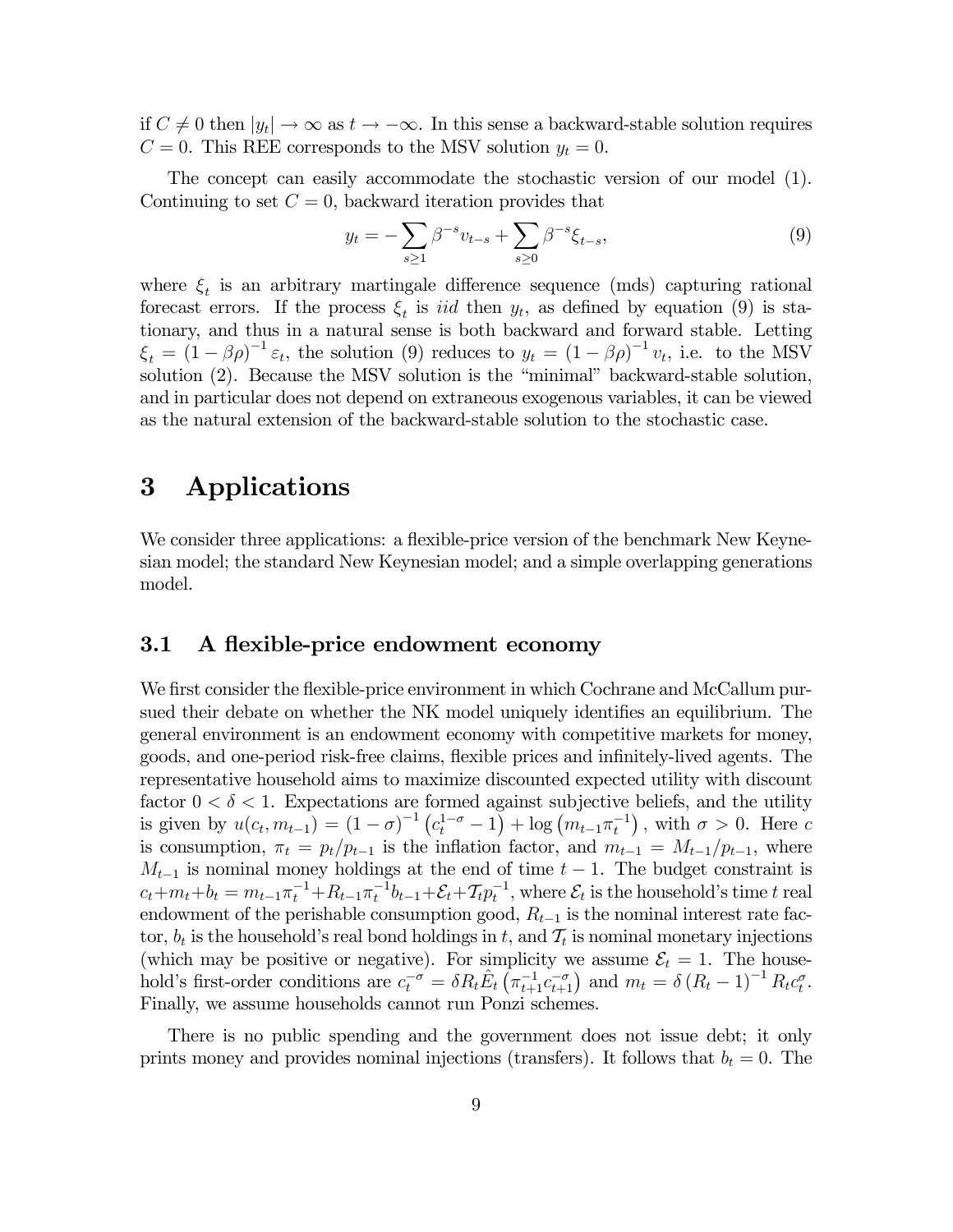if  $C \neq 0$  then  $|y_t| \to \infty$  as  $t \to -\infty$ . In this sense a backward-stable solution requires  $C = 0$ . This REE corresponds to the MSV solution  $y_t = 0$ .

The concept can easily accommodate the stochastic version of our model (1). Continuing to set  $C = 0$ , backward iteration provides that

$$
y_t = -\sum_{s \ge 1} \beta^{-s} v_{t-s} + \sum_{s \ge 0} \beta^{-s} \xi_{t-s},\tag{9}
$$

where  $\xi_t$  is an arbitrary martingale difference sequence (mds) capturing rational forecast errors. If the process  $\xi_t$  is *iid* then  $y_t$ , as defined by equation (9) is stationary, and thus in a natural sense is both backward and forward stable. Letting  $\xi_t = (1 - \beta \rho)^{-1} \varepsilon_t$ , the solution (9) reduces to  $y_t = (1 - \beta \rho)^{-1} v_t$ , i.e. to the MSV solution (2). Because the MSV solution is the "minimal" backward-stable solution, and in particular does not depend on extraneous exogenous variables, it can be viewed as the natural extension of the backward-stable solution to the stochastic case.

### 3 Applications

We consider three applications: a flexible-price version of the benchmark New Keynesian model; the standard New Keynesian model; and a simple overlapping generations model.

#### 3.1 A flexible-price endowment economy

We first consider the flexible-price environment in which Cochrane and McCallum pursued their debate on whether the NK model uniquely identifies an equilibrium. The general environment is an endowment economy with competitive markets for money, goods, and one-period risk-free claims, flexible prices and infinitely-lived agents. The representative household aims to maximize discounted expected utility with discount factor  $0 < \delta < 1$ . Expectations are formed against subjective beliefs, and the utility is given by  $u(c_t, m_{t-1}) = (1 - \sigma)^{-1} (c_t^{1-\sigma} - 1) + \log (m_{t-1} \pi_t^{-1})$ , with  $\sigma > 0$ . Here c is consumption,  $\pi_t = p_t / p_{t-1}$  is the inflation factor, and  $m_{t-1} = M_{t-1}/p_{t-1}$ , where  $M_{t-1}$  is nominal money holdings at the end of time  $t-1$ . The budget constraint is  $c_t + m_t + b_t = m_{t-1}\pi_t^{-1} + R_{t-1}\pi_t^{-1}b_{t-1} + \mathcal{E}_t + \mathcal{T}_t p_t^{-1}$ , where  $\mathcal{E}_t$  is the household's time t real endowment of the perishable consumption good,  $R_{t-1}$  is the nominal interest rate factor,  $b_t$  is the household's real bond holdings in t, and  $\mathcal{T}_t$  is nominal monetary injections (which may be positive or negative). For simplicity we assume  $\mathcal{E}_t = 1$ . The household's first-order conditions are  $c_t^{-\sigma} = \delta R_t \hat{E}_t \left( \pi_{t+1}^{-1} c_{t+1}^{-\sigma} \right)$  and  $m_t = \delta (R_t - 1)^{-1} R_t c_t^{\sigma}$ . Finally, we assume households cannot run Ponzi schemes.

There is no public spending and the government does not issue debt; it only prints money and provides nominal injections (transfers). It follows that  $b_t = 0$ . The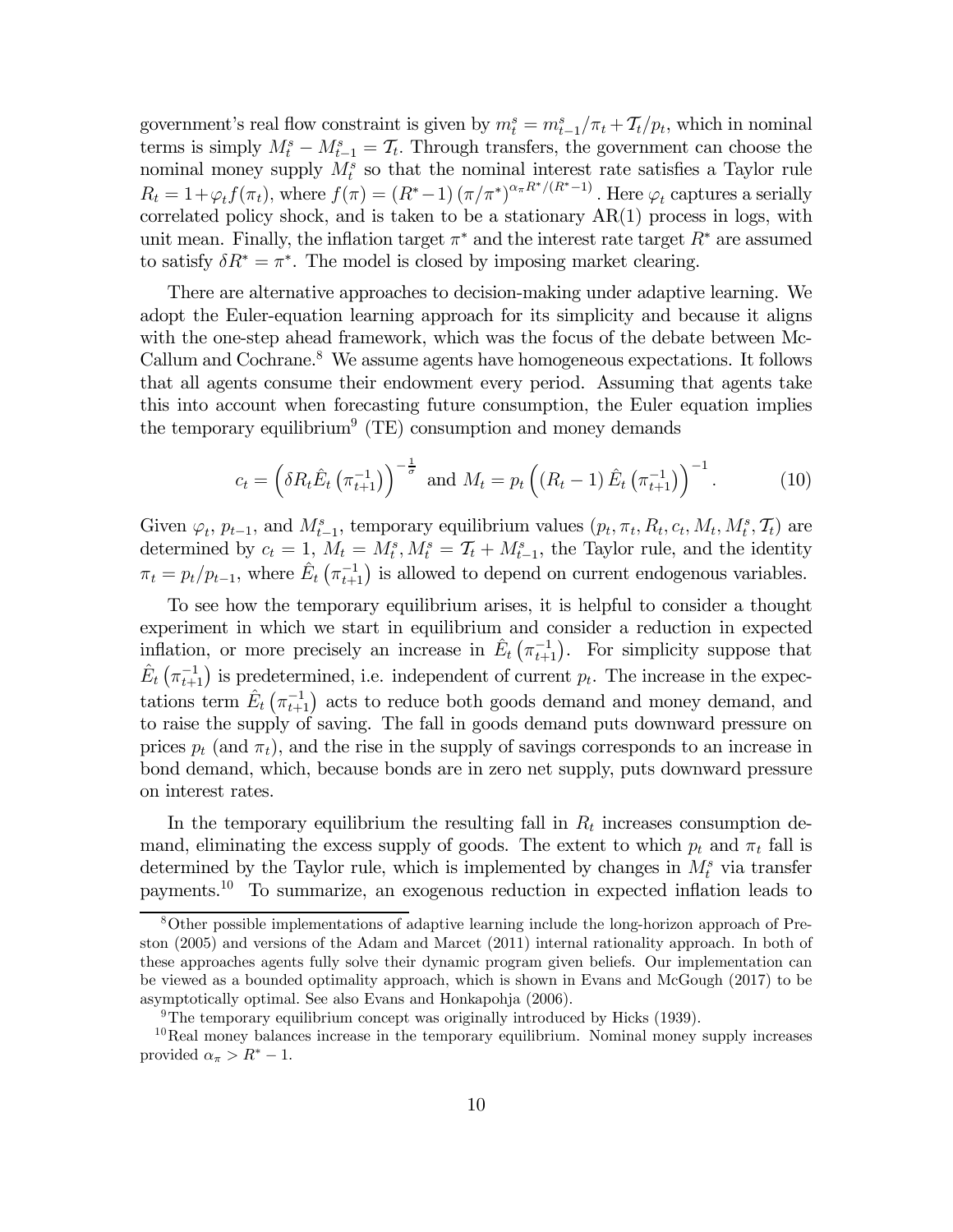government's real flow constraint is given by  $m_t^s = m_{t-1}^s / \pi_t + \mathcal{T}_t / p_t$ , which in nominal terms is simply  $M_t^s - M_{t-1}^s = T_t$ . Through transfers, the government can choose the nominal money supply  $M_t^s$  so that the nominal interest rate satisfies a Taylor rule  $R_t = 1 + \varphi_t f(\pi_t)$ , where  $f(\pi) = (R^* - 1) (\pi/\pi^*)^{\alpha_{\pi} R^* / (R^* - 1)}$ . Here  $\varphi_t$  captures a serially correlated policy shock, and is taken to be a stationary AR(1) process in logs, with unit mean. Finally, the inflation target  $\pi^*$  and the interest rate target  $R^*$  are assumed to satisfy  $\delta R^* = \pi^*$ . The model is closed by imposing market clearing.

There are alternative approaches to decision-making under adaptive learning. We adopt the Euler-equation learning approach for its simplicity and because it aligns with the one-step ahead framework, which was the focus of the debate between Mc-Callum and Cochrane. $8$  We assume agents have homogeneous expectations. It follows that all agents consume their endowment every period. Assuming that agents take this into account when forecasting future consumption, the Euler equation implies the temporary equilibrium<sup>9</sup> (TE) consumption and money demands

$$
c_{t} = \left(\delta R_{t}\hat{E}_{t}\left(\pi_{t+1}^{-1}\right)\right)^{-\frac{1}{\sigma}} \text{ and } M_{t} = p_{t}\left(\left(R_{t}-1\right)\hat{E}_{t}\left(\pi_{t+1}^{-1}\right)\right)^{-1}.
$$
 (10)

Given  $\varphi_t$ ,  $p_{t-1}$ , and  $M_{t-1}^s$ , temporary equilibrium values  $(p_t, \pi_t, R_t, c_t, M_t, M_t^s, \mathcal{T}_t)$  are determined by  $c_t = 1$ ,  $M_t = M_t^s$ ,  $M_t^s = T_t + M_{t-1}^s$ , the Taylor rule, and the identity  $\pi_t = p_t/p_{t-1}$ , where  $\hat{E}_t(\pi_{t+1}^{-1})$  is allowed to depend on current endogenous variables.

To see how the temporary equilibrium arises, it is helpful to consider a thought experiment in which we start in equilibrium and consider a reduction in expected inflation, or more precisely an increase in  $\hat{E}_t\left(\pi_{t+1}^{-1}\right)$ . For simplicity suppose that  $\hat{E}_t\left(\pi_{t+1}^{-1}\right)$  is predetermined, i.e. independent of current  $p_t$ . The increase in the expectations term  $\hat{E}_t\left(\pi_{t+1}^{-1}\right)$  acts to reduce both goods demand and money demand, and to raise the supply of saving. The fall in goods demand puts downward pressure on prices  $p_t$  (and  $\pi_t$ ), and the rise in the supply of savings corresponds to an increase in bond demand, which, because bonds are in zero net supply, puts downward pressure on interest rates.

In the temporary equilibrium the resulting fall in  $R_t$  increases consumption demand, eliminating the excess supply of goods. The extent to which  $p_t$  and  $\pi_t$  fall is determined by the Taylor rule, which is implemented by changes in  $M_t^s$  via transfer payments.10 To summarize, an exogenous reduction in expected inflation leads to

<sup>8</sup>Other possible implementations of adaptive learning include the long-horizon approach of Preston (2005) and versions of the Adam and Marcet (2011) internal rationality approach. In both of these approaches agents fully solve their dynamic program given beliefs. Our implementation can be viewed as a bounded optimality approach, which is shown in Evans and McGough (2017) to be asymptotically optimal. See also Evans and Honkapohja (2006).

<sup>&</sup>lt;sup>9</sup>The temporary equilibrium concept was originally introduced by Hicks (1939).

 $10$ Real money balances increase in the temporary equilibrium. Nominal money supply increases provided  $\alpha_{\pi} > R^* - 1$ .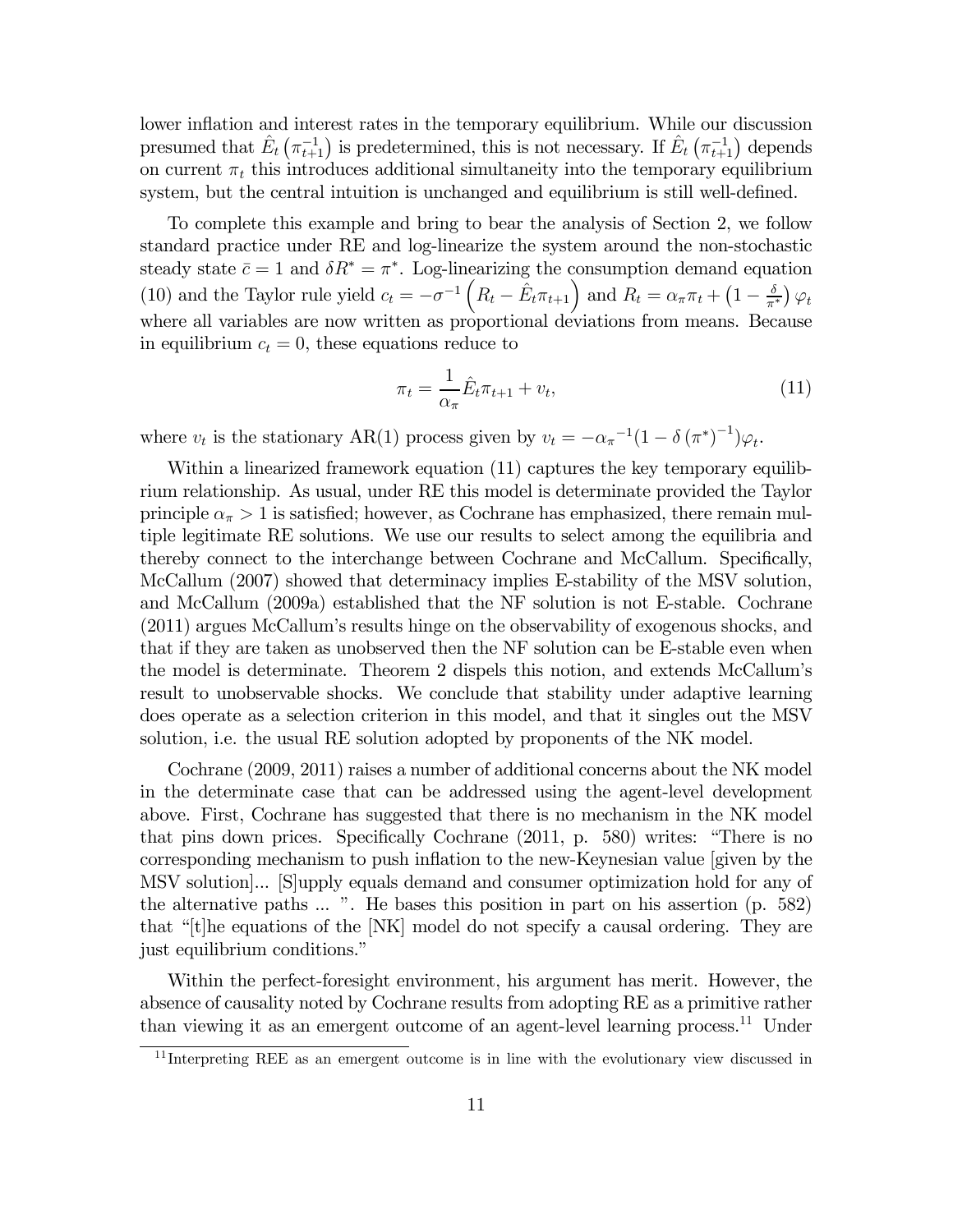lower inflation and interest rates in the temporary equilibrium. While our discussion presumed that  $\hat{E}_t(\pi_{t+1}^{-1})$  is predetermined, this is not necessary. If  $\hat{E}_t(\pi_{t+1}^{-1})$  depends on current  $\pi_t$  this introduces additional simultaneity into the temporary equilibrium system, but the central intuition is unchanged and equilibrium is still well-defined.

To complete this example and bring to bear the analysis of Section 2, we follow standard practice under RE and log-linearize the system around the non-stochastic steady state  $\bar{c} = 1$  and  $\delta R^* = \pi^*$ . Log-linearizing the consumption demand equation (10) and the Taylor rule yield  $c_t = -\sigma^{-1}\left(R_t - \hat{E}_t \pi_{t+1}\right)$  and  $R_t = \alpha_\pi \pi_t + \left(1 - \frac{\delta}{\pi^*}\right) \varphi_t$ where all variables are now written as proportional deviations from means. Because in equilibrium  $c_t = 0$ , these equations reduce to

$$
\pi_t = \frac{1}{\alpha_\pi} \hat{E}_t \pi_{t+1} + v_t,\tag{11}
$$

where  $v_t$  is the stationary AR(1) process given by  $v_t = -\alpha_\pi^{-1}(1 - \delta(\pi^*)^{-1})\varphi_t$ .

Within a linearized framework equation (11) captures the key temporary equilibrium relationship. As usual, under RE this model is determinate provided the Taylor principle  $\alpha_{\pi} > 1$  is satisfied; however, as Cochrane has emphasized, there remain multiple legitimate RE solutions. We use our results to select among the equilibria and thereby connect to the interchange between Cochrane and McCallum. Specifically, McCallum (2007) showed that determinacy implies E-stability of the MSV solution, and McCallum (2009a) established that the NF solution is not E-stable. Cochrane (2011) argues McCallum's results hinge on the observability of exogenous shocks, and that if they are taken as unobserved then the NF solution can be E-stable even when the model is determinate. Theorem 2 dispels this notion, and extends McCallum's result to unobservable shocks. We conclude that stability under adaptive learning does operate as a selection criterion in this model, and that it singles out the MSV solution, i.e. the usual RE solution adopted by proponents of the NK model.

Cochrane (2009, 2011) raises a number of additional concerns about the NK model in the determinate case that can be addressed using the agent-level development above. First, Cochrane has suggested that there is no mechanism in the NK model that pins down prices. Specifically Cochrane (2011, p. 580) writes: "There is no corresponding mechanism to push inflation to the new-Keynesian value [given by the MSV solution]... [S]upply equals demand and consumer optimization hold for any of the alternative paths ... ". He bases this position in part on his assertion (p. 582) that "[t]he equations of the [NK] model do not specify a causal ordering. They are just equilibrium conditions."

Within the perfect-foresight environment, his argument has merit. However, the absence of causality noted by Cochrane results from adopting RE as a primitive rather than viewing it as an emergent outcome of an agent-level learning process.11 Under

 $11$  Interpreting REE as an emergent outcome is in line with the evolutionary view discussed in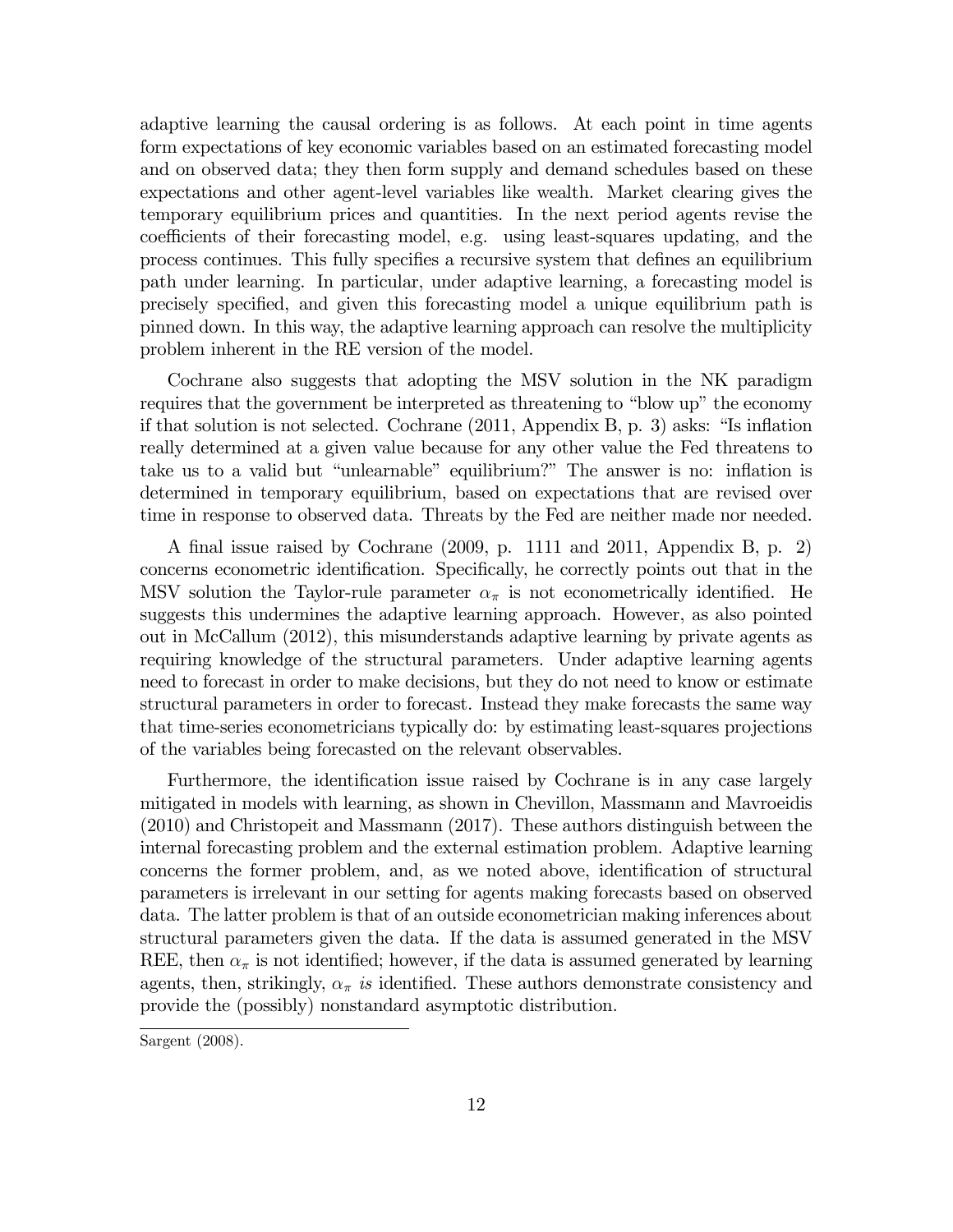adaptive learning the causal ordering is as follows. At each point in time agents form expectations of key economic variables based on an estimated forecasting model and on observed data; they then form supply and demand schedules based on these expectations and other agent-level variables like wealth. Market clearing gives the temporary equilibrium prices and quantities. In the next period agents revise the coefficients of their forecasting model, e.g. using least-squares updating, and the process continues. This fully specifies a recursive system that defines an equilibrium path under learning. In particular, under adaptive learning, a forecasting model is precisely specified, and given this forecasting model a unique equilibrium path is pinned down. In this way, the adaptive learning approach can resolve the multiplicity problem inherent in the RE version of the model.

Cochrane also suggests that adopting the MSV solution in the NK paradigm requires that the government be interpreted as threatening to "blow up" the economy if that solution is not selected. Cochrane (2011, Appendix B, p. 3) asks: "Is inflation really determined at a given value because for any other value the Fed threatens to take us to a valid but "unlearnable" equilibrium?" The answer is no: inflation is determined in temporary equilibrium, based on expectations that are revised over time in response to observed data. Threats by the Fed are neither made nor needed.

A final issue raised by Cochrane (2009, p. 1111 and 2011, Appendix B, p. 2) concerns econometric identification. Specifically, he correctly points out that in the MSV solution the Taylor-rule parameter  $\alpha_{\pi}$  is not econometrically identified. He suggests this undermines the adaptive learning approach. However, as also pointed out in McCallum (2012), this misunderstands adaptive learning by private agents as requiring knowledge of the structural parameters. Under adaptive learning agents need to forecast in order to make decisions, but they do not need to know or estimate structural parameters in order to forecast. Instead they make forecasts the same way that time-series econometricians typically do: by estimating least-squares projections of the variables being forecasted on the relevant observables.

Furthermore, the identification issue raised by Cochrane is in any case largely mitigated in models with learning, as shown in Chevillon, Massmann and Mavroeidis (2010) and Christopeit and Massmann (2017). These authors distinguish between the internal forecasting problem and the external estimation problem. Adaptive learning concerns the former problem, and, as we noted above, identification of structural parameters is irrelevant in our setting for agents making forecasts based on observed data. The latter problem is that of an outside econometrician making inferences about structural parameters given the data. If the data is assumed generated in the MSV REE, then  $\alpha_{\pi}$  is not identified; however, if the data is assumed generated by learning agents, then, strikingly,  $\alpha_{\pi}$  is identified. These authors demonstrate consistency and provide the (possibly) nonstandard asymptotic distribution.

Sargent (2008).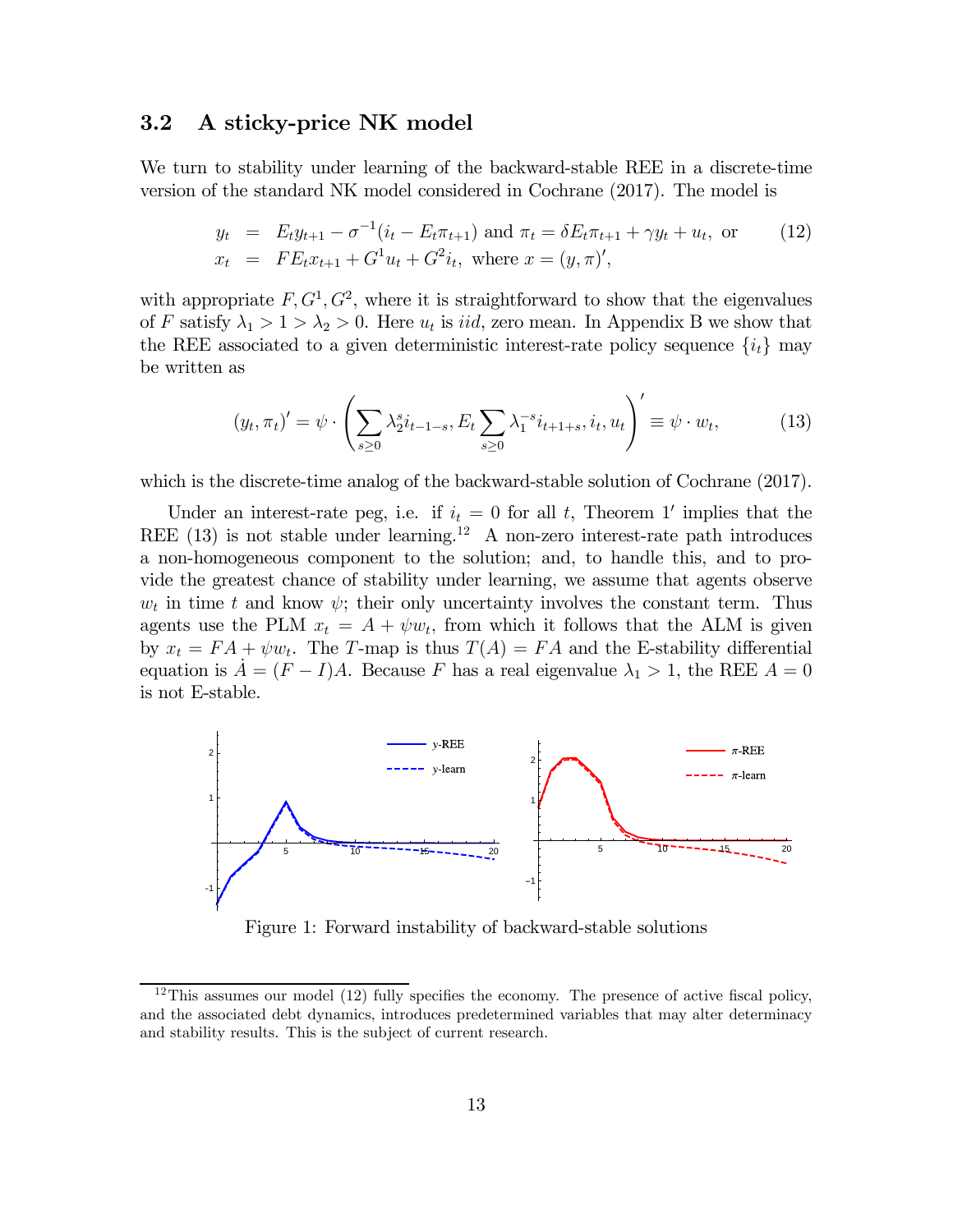### 3.2 A sticky-price NK model

We turn to stability under learning of the backward-stable REE in a discrete-time version of the standard NK model considered in Cochrane (2017). The model is

$$
y_t = E_t y_{t+1} - \sigma^{-1} (i_t - E_t \pi_{t+1}) \text{ and } \pi_t = \delta E_t \pi_{t+1} + \gamma y_t + u_t, \text{ or } (12)
$$
  

$$
x_t = FE_t x_{t+1} + G^1 u_t + G^2 i_t, \text{ where } x = (y, \pi)',
$$

with appropriate  $F, G<sup>1</sup>, G<sup>2</sup>$ , where it is straightforward to show that the eigenvalues of F satisfy  $\lambda_1 > 1 > \lambda_2 > 0$ . Here  $u_t$  is *iid*, zero mean. In Appendix B we show that the REE associated to a given deterministic interest-rate policy sequence  $\{i_t\}$  may be written as

$$
(y_t, \pi_t)' = \psi \cdot \left(\sum_{s \ge 0} \lambda_2^s i_{t-1-s}, E_t \sum_{s \ge 0} \lambda_1^{-s} i_{t+1+s}, i_t, u_t\right)' \equiv \psi \cdot w_t,
$$
 (13)

which is the discrete-time analog of the backward-stable solution of Cochrane (2017).

Under an interest-rate peg, i.e. if  $i_t = 0$  for all t, Theorem 1' implies that the REE  $(13)$  is not stable under learning.<sup>12</sup> A non-zero interest-rate path introduces a non-homogeneous component to the solution; and, to handle this, and to provide the greatest chance of stability under learning, we assume that agents observe  $w_t$  in time t and know  $\psi$ ; their only uncertainty involves the constant term. Thus agents use the PLM  $x_t = A + \psi w_t$ , from which it follows that the ALM is given by  $x_t = FA + \psi w_t$ . The T-map is thus  $T(A) = FA$  and the E-stability differential equation is  $A = (F - I)A$ . Because F has a real eigenvalue  $\lambda_1 > 1$ , the REE  $A = 0$ is not E-stable.



Figure 1: Forward instability of backward-stable solutions

<sup>&</sup>lt;sup>12</sup>This assumes our model  $(12)$  fully specifies the economy. The presence of active fiscal policy, and the associated debt dynamics, introduces predetermined variables that may alter determinacy and stability results. This is the subject of current research.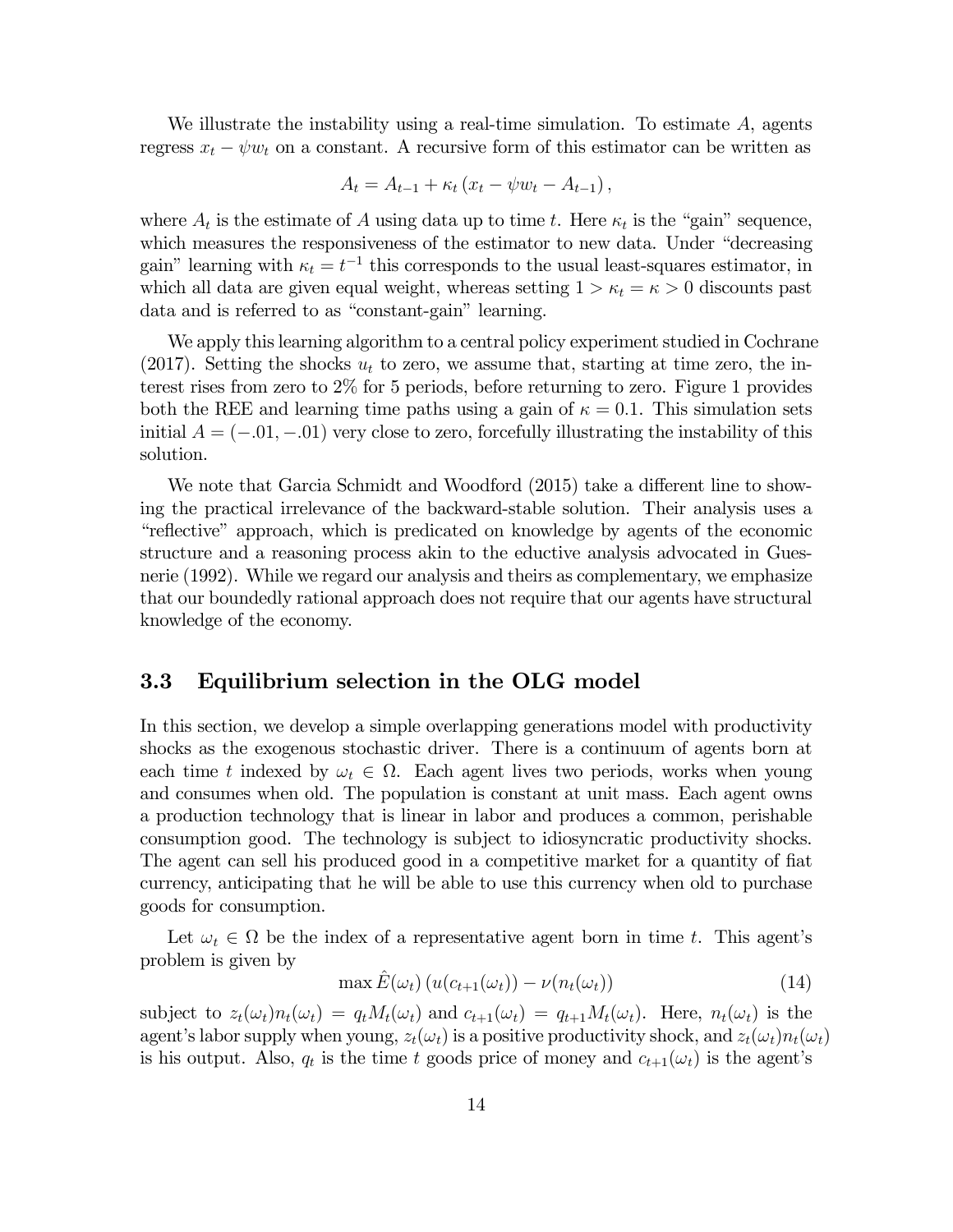We illustrate the instability using a real-time simulation. To estimate  $A$ , agents regress  $x_t - \psi w_t$  on a constant. A recursive form of this estimator can be written as

$$
A_t = A_{t-1} + \kappa_t (x_t - \psi w_t - A_{t-1}),
$$

where  $A_t$  is the estimate of A using data up to time t. Here  $\kappa_t$  is the "gain" sequence, which measures the responsiveness of the estimator to new data. Under "decreasing gain" learning with  $\kappa_t = t^{-1}$  this corresponds to the usual least-squares estimator, in which all data are given equal weight, whereas setting  $1 > \kappa_t = \kappa > 0$  discounts past data and is referred to as "constant-gain" learning.

We apply this learning algorithm to a central policy experiment studied in Cochrane (2017). Setting the shocks  $u_t$  to zero, we assume that, starting at time zero, the interest rises from zero to 2% for 5 periods, before returning to zero. Figure 1 provides both the REE and learning time paths using a gain of  $\kappa = 0.1$ . This simulation sets initial  $A = (-0.01, -0.01)$  very close to zero, forcefully illustrating the instability of this solution.

We note that Garcia Schmidt and Woodford (2015) take a different line to showing the practical irrelevance of the backward-stable solution. Their analysis uses a "reflective" approach, which is predicated on knowledge by agents of the economic structure and a reasoning process akin to the eductive analysis advocated in Guesnerie (1992). While we regard our analysis and theirs as complementary, we emphasize that our boundedly rational approach does not require that our agents have structural knowledge of the economy.

#### 3.3 Equilibrium selection in the OLG model

In this section, we develop a simple overlapping generations model with productivity shocks as the exogenous stochastic driver. There is a continuum of agents born at each time t indexed by  $\omega_t \in \Omega$ . Each agent lives two periods, works when young and consumes when old. The population is constant at unit mass. Each agent owns a production technology that is linear in labor and produces a common, perishable consumption good. The technology is subject to idiosyncratic productivity shocks. The agent can sell his produced good in a competitive market for a quantity of fiat currency, anticipating that he will be able to use this currency when old to purchase goods for consumption.

Let  $\omega_t \in \Omega$  be the index of a representative agent born in time t. This agent's problem is given by

$$
\max \hat{E}(\omega_t) \left( u(c_{t+1}(\omega_t)) - \nu(n_t(\omega_t)) \right) \tag{14}
$$

subject to  $z_t(\omega_t)n_t(\omega_t) = q_tM_t(\omega_t)$  and  $c_{t+1}(\omega_t) = q_{t+1}M_t(\omega_t)$ . Here,  $n_t(\omega_t)$  is the agent's labor supply when young,  $z_t(\omega_t)$  is a positive productivity shock, and  $z_t(\omega_t)n_t(\omega_t)$ is his output. Also,  $q_t$  is the time t goods price of money and  $c_{t+1}(\omega_t)$  is the agent's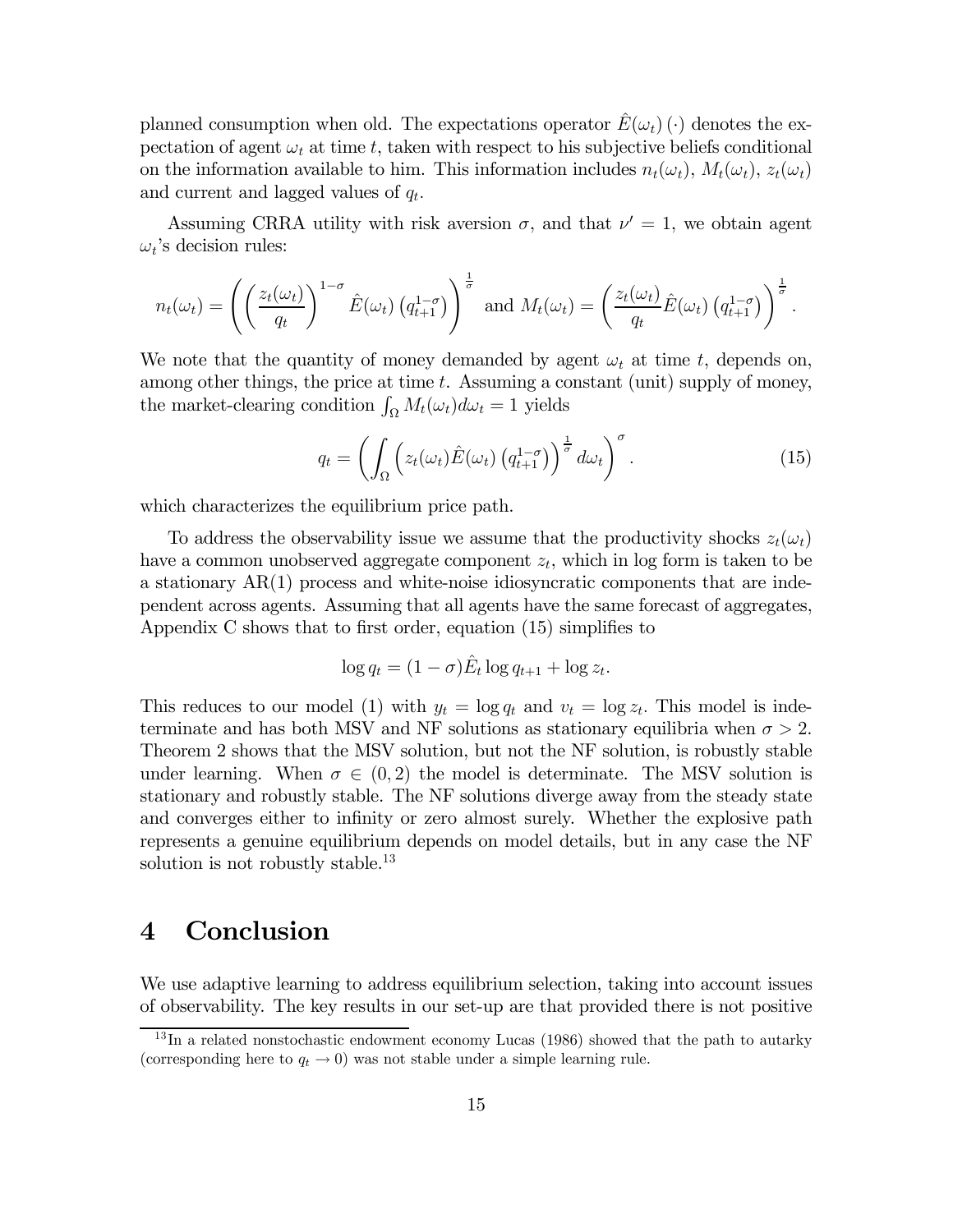planned consumption when old. The expectations operator  $E(\omega_t)$  ( $\cdot$ ) denotes the expectation of agent  $\omega_t$  at time t, taken with respect to his subjective beliefs conditional on the information available to him. This information includes  $n_t(\omega_t)$ ,  $M_t(\omega_t)$ ,  $z_t(\omega_t)$ and current and lagged values of  $q_t$ .

Assuming CRRA utility with risk aversion  $\sigma$ , and that  $\nu' = 1$ , we obtain agent  $\omega_t$ 's decision rules:

$$
n_t(\omega_t) = \left( \left( \frac{z_t(\omega_t)}{q_t} \right)^{1-\sigma} \hat{E}(\omega_t) \left( q_{t+1}^{1-\sigma} \right) \right)^{\frac{1}{\sigma}} \text{ and } M_t(\omega_t) = \left( \frac{z_t(\omega_t)}{q_t} \hat{E}(\omega_t) \left( q_{t+1}^{1-\sigma} \right) \right)^{\frac{1}{\sigma}}.
$$

We note that the quantity of money demanded by agent  $\omega_t$  at time t, depends on, among other things, the price at time  $t$ . Assuming a constant (unit) supply of money, the market-clearing condition  $\int_{\Omega} M_t(\omega_t) d\omega_t = 1$  yields

$$
q_t = \left( \int_{\Omega} \left( z_t(\omega_t) \hat{E}(\omega_t) \left( q_{t+1}^{1-\sigma} \right) \right)^{\frac{1}{\sigma}} d\omega_t \right)^{\sigma} . \tag{15}
$$

which characterizes the equilibrium price path.

To address the observability issue we assume that the productivity shocks  $z_t(\omega_t)$ have a common unobserved aggregate component  $z_t$ , which in log form is taken to be a stationary AR(1) process and white-noise idiosyncratic components that are independent across agents. Assuming that all agents have the same forecast of aggregates, Appendix C shows that to first order, equation (15) simplifies to

$$
\log q_t = (1 - \sigma)\hat{E}_t \log q_{t+1} + \log z_t.
$$

This reduces to our model (1) with  $y_t = \log q_t$  and  $v_t = \log z_t$ . This model is indeterminate and has both MSV and NF solutions as stationary equilibria when  $\sigma > 2$ . Theorem 2 shows that the MSV solution, but not the NF solution, is robustly stable under learning. When  $\sigma \in (0,2)$  the model is determinate. The MSV solution is stationary and robustly stable. The NF solutions diverge away from the steady state and converges either to infinity or zero almost surely. Whether the explosive path represents a genuine equilibrium depends on model details, but in any case the NF solution is not robustly stable.<sup>13</sup>

### 4 Conclusion

We use adaptive learning to address equilibrium selection, taking into account issues of observability. The key results in our set-up are that provided there is not positive

 $13$  In a related nonstochastic endowment economy Lucas (1986) showed that the path to autarky (corresponding here to  $q_t \to 0$ ) was not stable under a simple learning rule.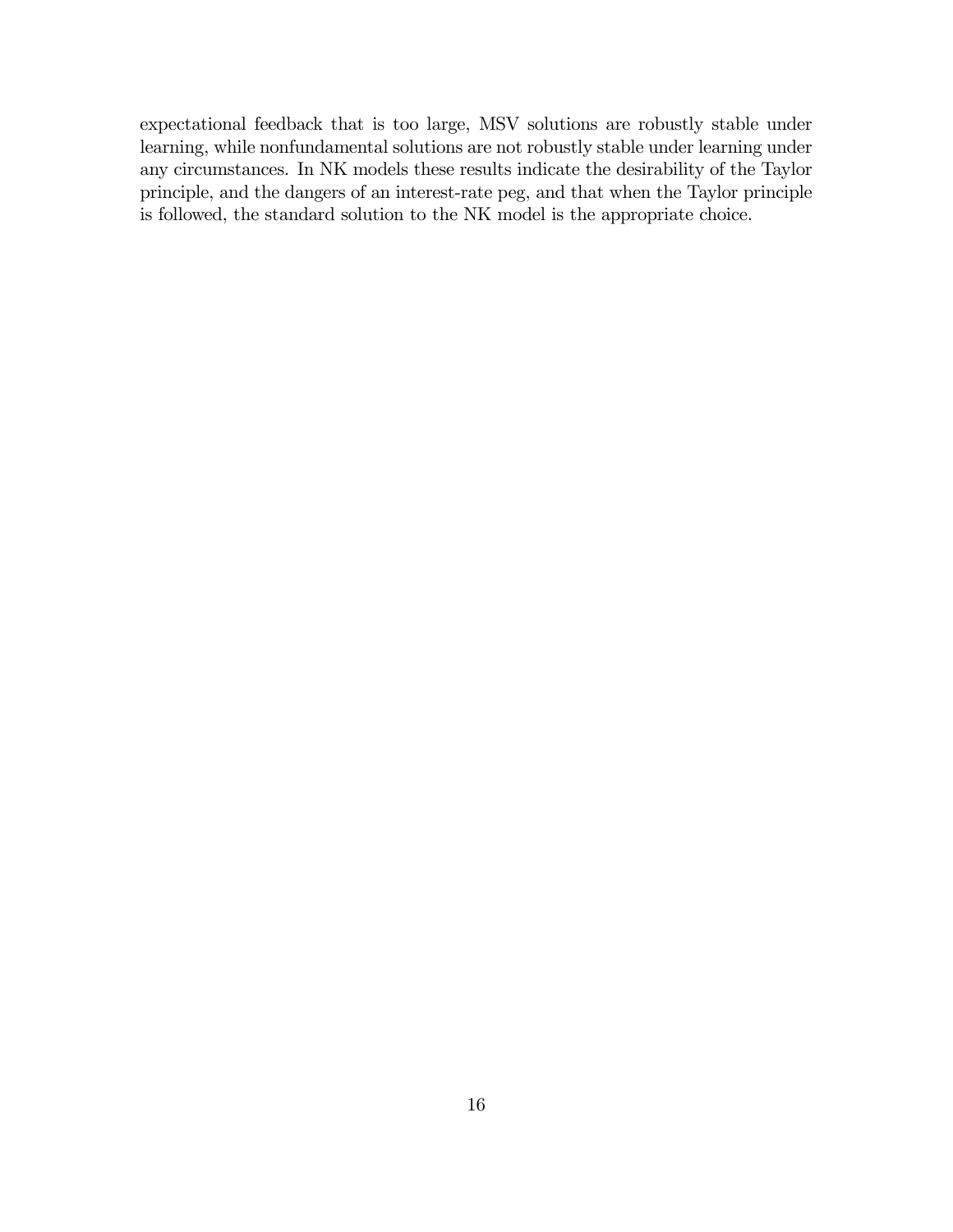expectational feedback that is too large, MSV solutions are robustly stable under learning, while nonfundamental solutions are not robustly stable under learning under any circumstances. In NK models these results indicate the desirability of the Taylor principle, and the dangers of an interest-rate peg, and that when the Taylor principle is followed, the standard solution to the NK model is the appropriate choice.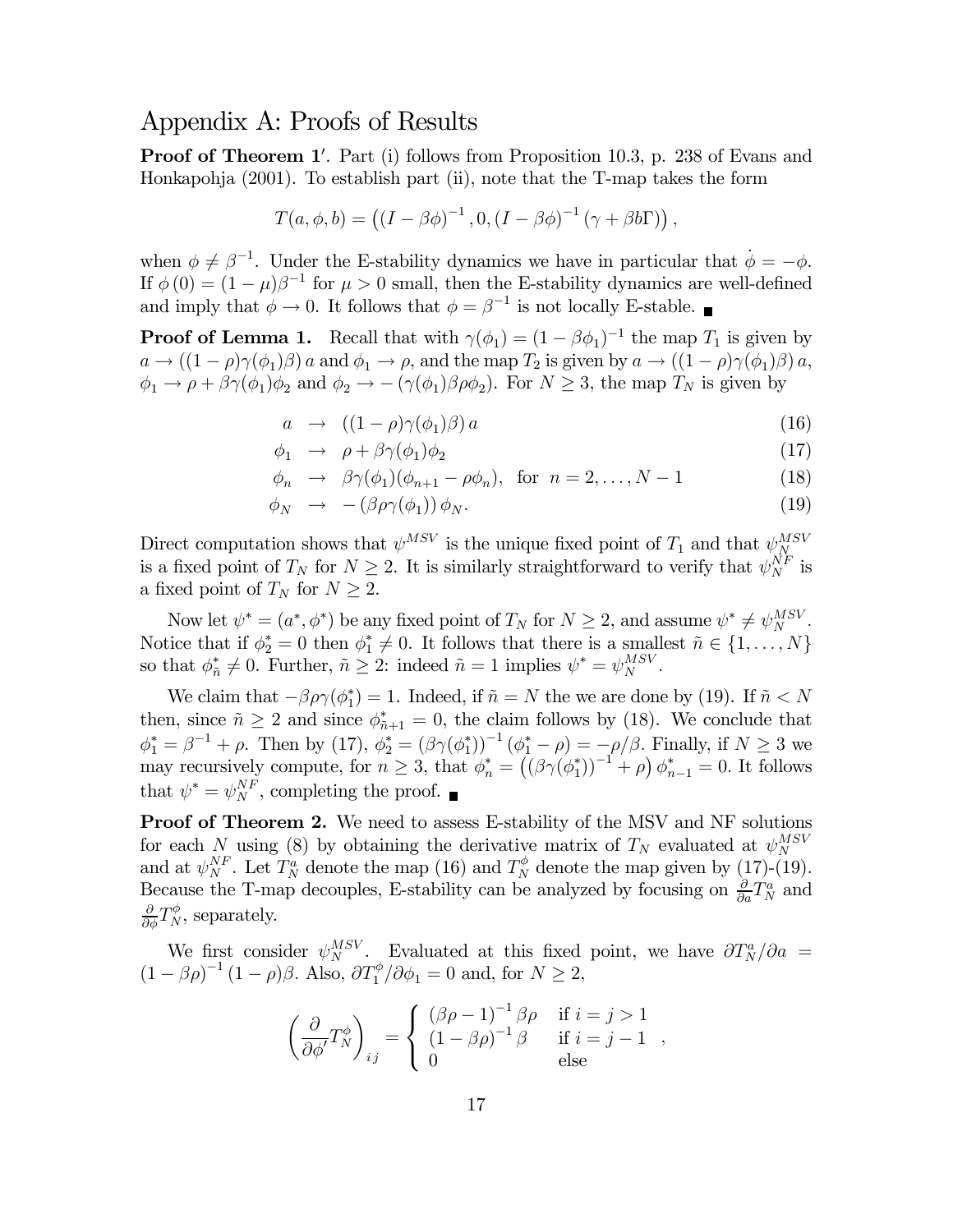### Appendix A: Proofs of Results

**Proof of Theorem 1'**. Part (i) follows from Proposition 10.3, p. 238 of Evans and Honkapohja (2001). To establish part (ii), note that the T-map takes the form

$$
T(a, \phi, b) = ((I - \beta \phi)^{-1}, 0, (I - \beta \phi)^{-1} (\gamma + \beta b \Gamma)),
$$

when  $\phi \neq \beta^{-1}$ . Under the E-stability dynamics we have in particular that  $\dot{\phi} = -\phi$ . If  $\phi(0) = (1 - \mu)\beta^{-1}$  for  $\mu > 0$  small, then the E-stability dynamics are well-defined and imply that  $\phi \to 0$ . It follows that  $\phi = \beta^{-1}$  is not locally E-stable.

**Proof of Lemma 1.** Recall that with  $\gamma(\phi_1) = (1 - \beta \phi_1)^{-1}$  the map  $T_1$  is given by  $a \to ((1 - \rho)\gamma(\phi_1)\beta)$  a and  $\phi_1 \to \rho$ , and the map  $T_2$  is given by  $a \to ((1 - \rho)\gamma(\phi_1)\beta)$  a,  $\phi_1 \to \rho + \beta \gamma (\phi_1) \phi_2$  and  $\phi_2 \to -(\gamma(\phi_1) \beta \rho \phi_2)$ . For  $N \geq 3$ , the map  $T_N$  is given by

$$
a \rightarrow ((1 - \rho)\gamma(\phi_1)\beta) a \tag{16}
$$

$$
\phi_1 \rightarrow \rho + \beta \gamma (\phi_1) \phi_2 \tag{17}
$$

$$
\phi_n \rightarrow \beta \gamma(\phi_1)(\phi_{n+1} - \rho \phi_n), \text{ for } n = 2, \dots, N-1 \tag{18}
$$

$$
\phi_N \rightarrow -(\beta \rho \gamma(\phi_1)) \phi_N. \tag{19}
$$

Direct computation shows that  $\psi_{N}^{MSV}$  is the unique fixed point of  $T_1$  and that  $\psi_{N}^{MSV}$  is a fixed point of  $T_N$  for  $N \geq 2$ . It is similarly straightforward to verify that  $\psi_{N}^{NF}$  is a fixed point of  $T_N$  for  $N \geq 2$ .

Now let  $\psi^* = (a^*, \phi^*)$  be any fixed point of  $T_N$  for  $N \geq 2$ , and assume  $\psi^* \neq \psi_N^{MSV}$ . Notice that if  $\phi_2^* = 0$  then  $\phi_1^* \neq 0$ . It follows that there is a smallest  $\tilde{n} \in \{1, \ldots, N\}$ so that  $\phi_{\tilde{n}}^* \neq 0$ . Further,  $\tilde{n} \geq 2$ : indeed  $\tilde{n} = 1$  implies  $\psi^* = \psi_N^{MSV}$ .

We claim that  $-\beta \rho \gamma(\phi_1^*) = 1$ . Indeed, if  $\tilde{n} = N$  the we are done by (19). If  $\tilde{n} < N$ then, since  $\tilde{n} \ge 2$  and since  $\phi^*_{\tilde{n}+1} = 0$ , the claim follows by (18). We conclude that  $\phi_1^* = \beta^{-1} + \rho$ . Then by (17),  $\phi_2^* = (\beta \gamma(\phi_1^*))^{-1} (\phi_1^* - \rho) = -\rho/\beta$ . Finally, if  $N \ge 3$  we may recursively compute, for  $n \geq 3$ , that  $\phi_n^* = ((\beta \gamma(\phi_1^*))^{-1} + \rho) \phi_{n-1}^* = 0$ . It follows that  $\psi^* = \psi_N^{NF}$ , completing the proof.

Proof of Theorem 2. We need to assess E-stability of the MSV and NF solutions for each N using (8) by obtaining the derivative matrix of  $T_N$  evaluated at  $\psi_N^{MSV}$ and at  $\psi_N^{NF}$ . Let  $T_N^a$  denote the map (16) and  $T_N^{\phi}$  denote the map given by (17)-(19). Because the T-map decouples, E-stability can be analyzed by focusing on  $\frac{\partial}{\partial a}T_N^a$  and  $\frac{\partial}{\partial \phi}T_N^{\phi}$ , separately.

We first consider  $\psi_N^{MSV}$ . Evaluated at this fixed point, we have  $\partial T_N^a/\partial a =$  $(1 - \beta \rho)^{-1} (1 - \rho) \beta$ . Also,  $\partial T_1^{\phi}/\partial \phi_1 = 0$  and, for  $N \ge 2$ ,

$$
\left(\frac{\partial}{\partial \phi'} T_N^{\phi}\right)_{ij} = \begin{cases}\n(\beta \rho - 1)^{-1} \beta \rho & \text{if } i = j > 1 \\
(1 - \beta \rho)^{-1} \beta & \text{if } i = j - 1, \\
0 & \text{else}\n\end{cases}
$$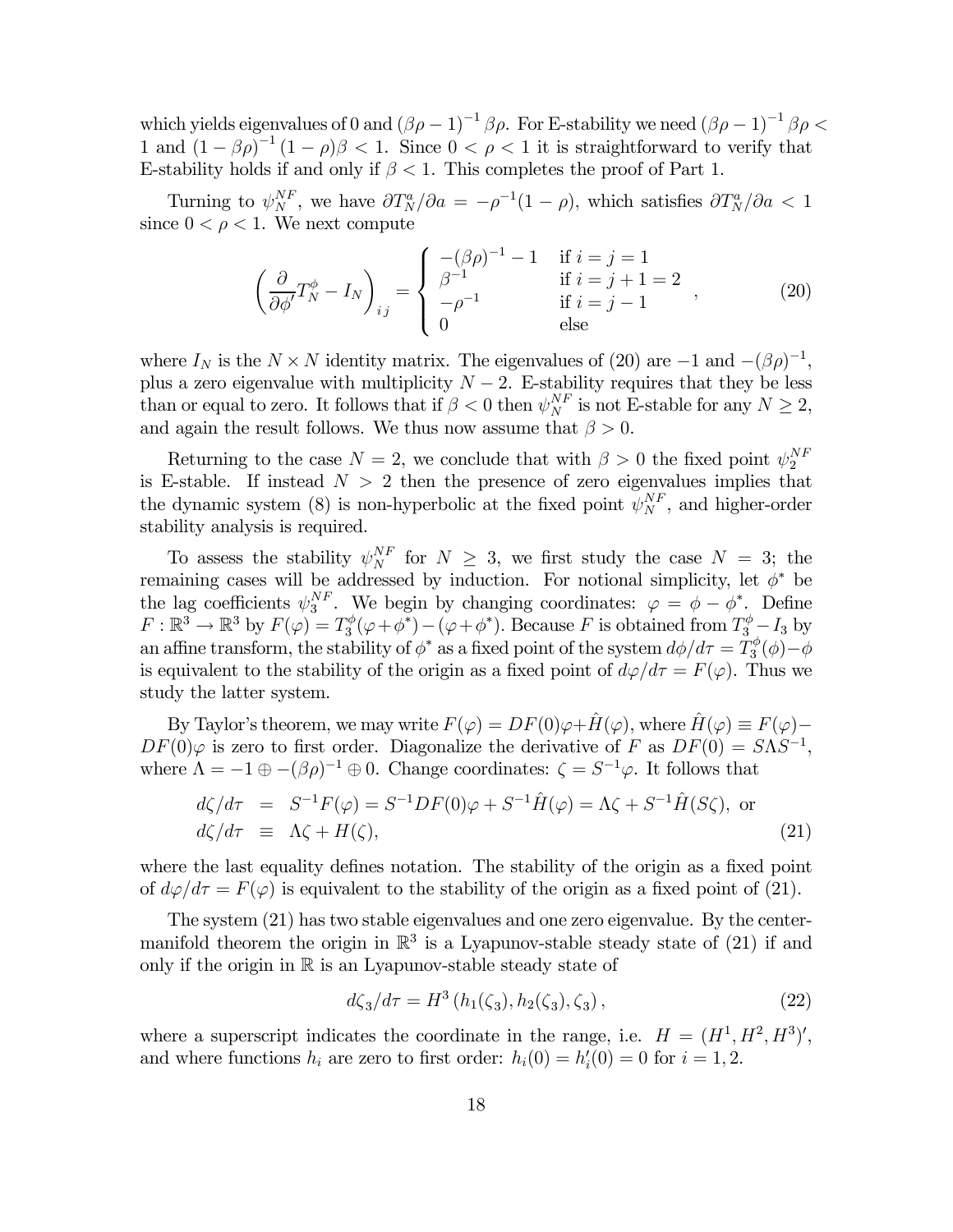which yields eigenvalues of 0 and  $(\beta \rho - 1)^{-1} \beta \rho$ . For E-stability we need  $(\beta \rho - 1)^{-1} \beta \rho$ 1 and  $(1 - \beta \rho)^{-1} (1 - \rho) \beta < 1$ . Since  $0 < \rho < 1$  it is straightforward to verify that E-stability holds if and only if  $\beta < 1$ . This completes the proof of Part 1.

Turning to  $\psi_N^{NF}$ , we have  $\partial T_N^a/\partial a = -\rho^{-1}(1-\rho)$ , which satisfies  $\partial T_N^a/\partial a < 1$ since  $0 < \rho < 1$ . We next compute

$$
\left(\frac{\partial}{\partial \phi'} T_N^{\phi} - I_N\right)_{ij} = \begin{cases}\n-(\beta \rho)^{-1} - 1 & \text{if } i = j = 1 \\
\beta^{-1} & \text{if } i = j + 1 = 2 \\
-\rho^{-1} & \text{if } i = j - 1 \\
0 & \text{else}\n\end{cases}
$$
\n(20)

where  $I_N$  is the  $N \times N$  identity matrix. The eigenvalues of (20) are  $-1$  and  $-(\beta \rho)^{-1}$ , plus a zero eigenvalue with multiplicity  $N-2$ . E-stability requires that they be less than or equal to zero. It follows that if  $\beta < 0$  then  $\psi_N^{NF}$  is not E-stable for any  $N \ge 2$ , and again the result follows. We thus now assume that  $\beta > 0$ .

Returning to the case  $N = 2$ , we conclude that with  $\beta > 0$  the fixed point  $\psi_2^{NF}$ is E-stable. If instead  $N > 2$  then the presence of zero eigenvalues implies that the dynamic system (8) is non-hyperbolic at the fixed point  $\psi_N^{NF}$ , and higher-order stability analysis is required.

To assess the stability  $\psi_N^{NF}$  for  $N \geq 3$ , we first study the case  $N = 3$ ; the remaining cases will be addressed by induction. For notional simplicity, let  $\phi^*$  be the lag coefficients  $\psi_3^{NF}$ . We begin by changing coordinates:  $\varphi = \phi - \phi^*$ . Define  $F: \mathbb{R}^3 \to \mathbb{R}^3$  by  $F(\varphi) = T_3^{\phi}(\varphi + \phi^*) - (\varphi + \phi^*)$ . Because F is obtained from  $T_3^{\phi} - I_3$  by an affine transform, the stability of  $\phi^*$  as a fixed point of the system  $d\phi/d\tau = T_3^{\phi}(\phi) - \phi$ is equivalent to the stability of the origin as a fixed point of  $d\varphi/d\tau = F(\varphi)$ . Thus we study the latter system.

By Taylor's theorem, we may write  $F(\varphi) = DF(0)\varphi + \hat{H}(\varphi)$ , where  $\hat{H}(\varphi) \equiv F(\varphi) DF(0)\varphi$  is zero to first order. Diagonalize the derivative of F as  $DF(0) = S\Lambda S^{-1}$ , where  $\Lambda = -1 \oplus -(\beta \rho)^{-1} \oplus 0$ . Change coordinates:  $\zeta = S^{-1} \varphi$ . It follows that

$$
d\zeta/d\tau = S^{-1}F(\varphi) = S^{-1}DF(0)\varphi + S^{-1}\hat{H}(\varphi) = \Lambda\zeta + S^{-1}\hat{H}(S\zeta), \text{ or}
$$
  

$$
d\zeta/d\tau = \Lambda\zeta + H(\zeta),
$$
 (21)

where the last equality defines notation. The stability of the origin as a fixed point of  $d\varphi/d\tau = F(\varphi)$  is equivalent to the stability of the origin as a fixed point of (21).

The system (21) has two stable eigenvalues and one zero eigenvalue. By the centermanifold theorem the origin in  $\mathbb{R}^3$  is a Lyapunov-stable steady state of (21) if and only if the origin in  $\mathbb R$  is an Lyapunov-stable steady state of

$$
d\zeta_3/d\tau = H^3(h_1(\zeta_3), h_2(\zeta_3), \zeta_3), \qquad (22)
$$

where a superscript indicates the coordinate in the range, i.e.  $H = (H^1, H^2, H^3)'$ , and where functions  $h_i$  are zero to first order:  $h_i(0) = h'_i(0) = 0$  for  $i = 1, 2$ .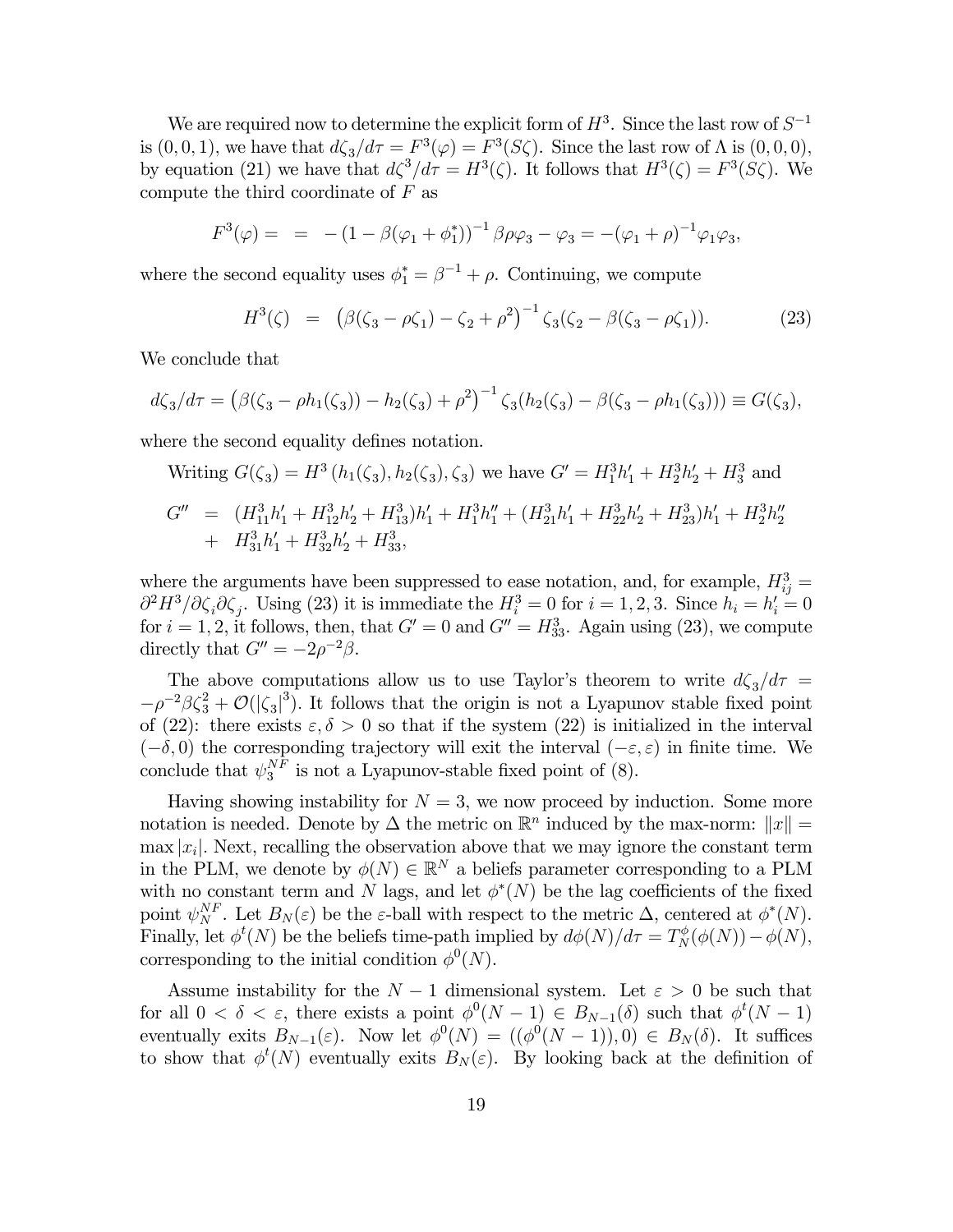We are required now to determine the explicit form of  $H^3$ . Since the last row of  $S^{-1}$ is  $(0,0,1)$ , we have that  $d\zeta_3/d\tau = F^3(\varphi) = F^3(S\zeta)$ . Since the last row of  $\Lambda$  is  $(0,0,0)$ , by equation (21) we have that  $d\zeta^3/d\tau = H^3(\zeta)$ . It follows that  $H^3(\zeta) = F^3(S\zeta)$ . We compute the third coordinate of  $F$  as

$$
F^{3}(\varphi) = = -(1 - \beta(\varphi_{1} + \phi_{1}^{*}))^{-1} \beta \rho \varphi_{3} - \varphi_{3} = -(\varphi_{1} + \rho)^{-1} \varphi_{1} \varphi_{3},
$$

where the second equality uses  $\phi_1^* = \beta^{-1} + \rho$ . Continuing, we compute

$$
H^{3}(\zeta) = (\beta(\zeta_{3} - \rho \zeta_{1}) - \zeta_{2} + \rho^{2})^{-1} \zeta_{3}(\zeta_{2} - \beta(\zeta_{3} - \rho \zeta_{1})). \tag{23}
$$

We conclude that

$$
d\zeta_3/d\tau = (\beta(\zeta_3 - \rho h_1(\zeta_3)) - h_2(\zeta_3) + \rho^2)^{-1} \zeta_3(h_2(\zeta_3) - \beta(\zeta_3 - \rho h_1(\zeta_3))) \equiv G(\zeta_3),
$$

where the second equality defines notation.

Writing 
$$
G(\zeta_3) = H^3(h_1(\zeta_3), h_2(\zeta_3), \zeta_3)
$$
 we have  $G' = H_1^3 h'_1 + H_2^3 h'_2 + H_3^3$  and  
\n
$$
G'' = (H_{11}^3 h'_1 + H_{12}^3 h'_2 + H_{13}^3) h'_1 + H_1^3 h''_1 + (H_{21}^3 h'_1 + H_{22}^3 h'_2 + H_{23}^3) h'_1 + H_2^3 h''_2
$$
\n
$$
+ H_{31}^3 h'_1 + H_{32}^3 h'_2 + H_{33}^3,
$$

where the arguments have been suppressed to ease notation, and, for example,  $H_{ij}^3 =$  $\partial^2 H^3/\partial \zeta_i \partial \zeta_j$ . Using (23) it is immediate the  $H_i^3 = 0$  for  $i = 1, 2, 3$ . Since  $h_i = h'_i = 0$ for  $i = 1, 2$ , it follows, then, that  $G' = 0$  and  $G'' = H_{33}^3$ . Again using (23), we compute directly that  $G'' = -2\rho^{-2}\beta$ .

The above computations allow us to use Taylor's theorem to write  $d\zeta_3/d\tau =$  $-\rho^{-2}\beta\zeta_3^2+\mathcal{O}(|\zeta_3|^3)$ . It follows that the origin is not a Lyapunov stable fixed point of (22): there exists  $\varepsilon, \delta > 0$  so that if the system (22) is initialized in the interval  $(-\delta, 0)$  the corresponding trajectory will exit the interval  $(-\varepsilon, \varepsilon)$  in finite time. We conclude that  $\psi_3^{NF}$  is not a Lyapunov-stable fixed point of (8).

Having showing instability for  $N = 3$ , we now proceed by induction. Some more notation is needed. Denote by  $\Delta$  the metric on  $\mathbb{R}^n$  induced by the max-norm:  $||x|| =$  $\max |x_i|$ . Next, recalling the observation above that we may ignore the constant term in the PLM, we denote by  $\phi(N) \in \mathbb{R}^N$  a beliefs parameter corresponding to a PLM with no constant term and N lags, and let  $\phi^*(N)$  be the lag coefficients of the fixed point  $\psi_N^{NF}$ . Let  $B_N(\varepsilon)$  be the  $\varepsilon$ -ball with respect to the metric  $\Delta$ , centered at  $\phi^*(N)$ . Finally, let  $\phi^t(N)$  be the beliefs time-path implied by  $d\phi(N)/d\tau = T_N^{\phi}(\phi(N)) - \phi(N)$ , corresponding to the initial condition  $\phi^0(N)$ .

Assume instability for the  $N-1$  dimensional system. Let  $\varepsilon > 0$  be such that for all  $0 < \delta < \varepsilon$ , there exists a point  $\phi^0(N-1) \in B_{N-1}(\delta)$  such that  $\phi^t(N-1)$ eventually exits  $B_{N-1}(\varepsilon)$ . Now let  $\phi^0(N) = ((\phi^0(N-1)), 0) \in B_N(\delta)$ . It suffices to show that  $\phi^t(N)$  eventually exits  $B_N(\varepsilon)$ . By looking back at the definition of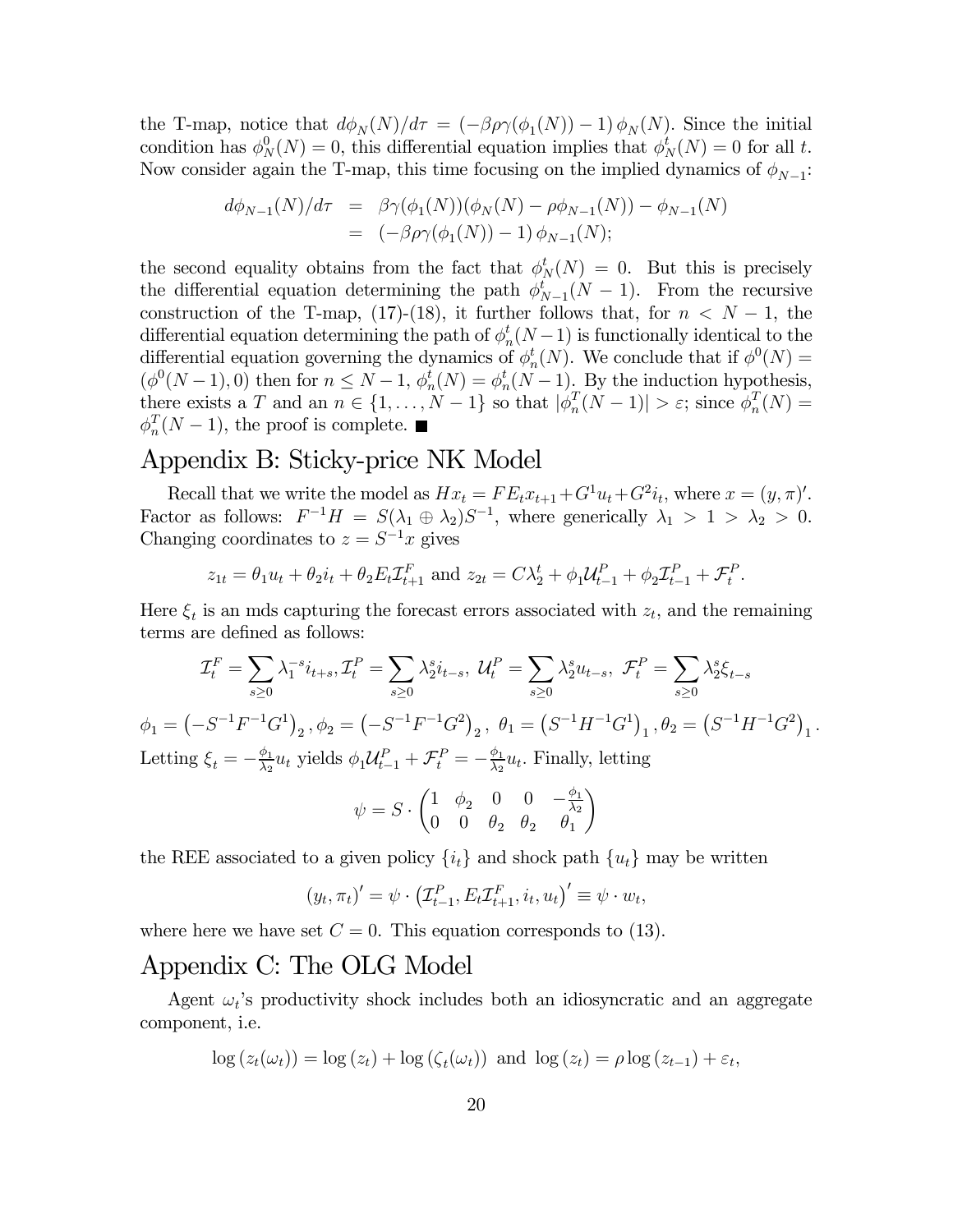the T-map, notice that  $d\phi_N(N)/d\tau = (-\beta \rho \gamma(\phi_1(N)) - 1) \phi_N(N)$ . Since the initial condition has  $\phi_N^0(N) = 0$ , this differential equation implies that  $\phi_N^t(N) = 0$  for all t. Now consider again the T-map, this time focusing on the implied dynamics of  $\phi_{N-1}$ :

$$
d\phi_{N-1}(N)/d\tau = \beta \gamma(\phi_1(N))(\phi_N(N) - \rho \phi_{N-1}(N)) - \phi_{N-1}(N)
$$
  
=  $(-\beta \rho \gamma(\phi_1(N)) - 1) \phi_{N-1}(N);$ 

the second equality obtains from the fact that  $\phi_N^t(N) = 0$ . But this is precisely the differential equation determining the path  $\phi_{N-1}^t(N-1)$ . From the recursive construction of the T-map, (17)-(18), it further follows that, for  $n < N - 1$ , the differential equation determining the path of  $\phi_n^t(N-1)$  is functionally identical to the differential equation governing the dynamics of  $\phi_n^t(N)$ . We conclude that if  $\phi^0(N)$  =  $(\phi^0(N-1),0)$  then for  $n \leq N-1$ ,  $\phi_n^t(N) = \phi_n^t(N-1)$ . By the induction hypothesis, there exists a T and an  $n \in \{1, ..., N-1\}$  so that  $|\phi_n^T(N-1)| > \varepsilon$ ; since  $\phi_n^T(N) =$  $\phi_n^T(N-1)$ , the proof is complete.

### Appendix B: Sticky-price NK Model

Recall that we write the model as  $Hx_t = FE_tx_{t+1} + G^1u_t + G^2i_t$ , where  $x = (y, \pi)'.$ Factor as follows:  $F^{-1}H = S(\lambda_1 \oplus \lambda_2)S^{-1}$ , where generically  $\lambda_1 > 1 > \lambda_2 > 0$ . Changing coordinates to  $z = S^{-1}x$  gives

$$
z_{1t} = \theta_1 u_t + \theta_2 i_t + \theta_2 E_t \mathcal{I}_{t+1}^F
$$
 and  $z_{2t} = C \lambda_2^t + \phi_1 \mathcal{U}_{t-1}^P + \phi_2 \mathcal{I}_{t-1}^P + \mathcal{F}_t^P$ .

Here  $\xi_t$  is an mds capturing the forecast errors associated with  $z_t$ , and the remaining terms are defined as follows:

$$
\mathcal{I}_t^F = \sum_{s\geq 0} \lambda_1^{-s} i_{t+s}, \mathcal{I}_t^P = \sum_{s\geq 0} \lambda_2^{s} i_{t-s}, \ \mathcal{U}_t^P = \sum_{s\geq 0} \lambda_2^{s} u_{t-s}, \ \mathcal{F}_t^P = \sum_{s\geq 0} \lambda_2^{s} \xi_{t-s}
$$

$$
\phi_1 = \left(-S^{-1}F^{-1}G^1\right)_2, \ \phi_2 = \left(-S^{-1}F^{-1}G^2\right)_2, \ \theta_1 = \left(S^{-1}H^{-1}G^1\right)_1, \ \theta_2 = \left(S^{-1}H^{-1}G^2\right)_1.
$$
Letting  $\xi_t = -\frac{\phi_1}{\lambda_2} u_t$  yields  $\phi_1 \mathcal{U}_{t-1}^P + \mathcal{F}_t^P = -\frac{\phi_1}{\lambda_2} u_t$ . Finally, letting

$$
\psi=S\cdot\begin{pmatrix}1&\phi_2&0&0&-\frac{\phi_1}{\lambda_2}\\0&0&\theta_2&\theta_2&\theta_1\end{pmatrix}
$$

the REE associated to a given policy  $\{i_t\}$  and shock path  $\{u_t\}$  may be written

$$
(y_t, \pi_t)' = \psi \cdot (T_{t-1}^P, E_t T_{t+1}^F, i_t, u_t)' \equiv \psi \cdot w_t,
$$

where here we have set  $C = 0$ . This equation corresponds to (13).

### Appendix C: The OLG Model

Agent  $\omega_t$ 's productivity shock includes both an idiosyncratic and an aggregate component, i.e.

$$
\log(z_t(\omega_t)) = \log(z_t) + \log(\zeta_t(\omega_t)) \text{ and } \log(z_t) = \rho \log(z_{t-1}) + \varepsilon_t,
$$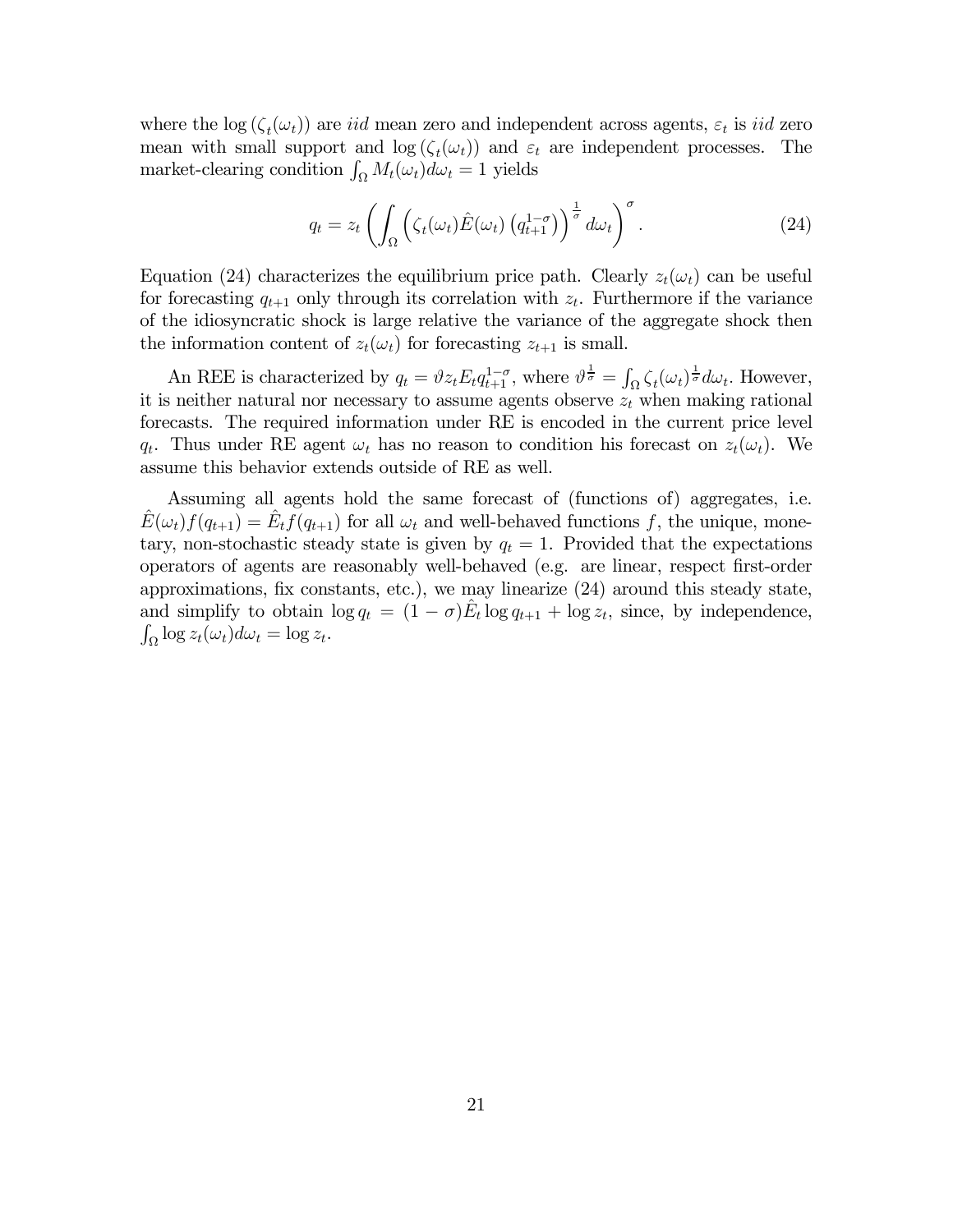where the log  $(\zeta_t(\omega_t))$  are *iid* mean zero and independent across agents,  $\varepsilon_t$  is *iid* zero mean with small support and  $log(\zeta_t(\omega_t))$  and  $\varepsilon_t$  are independent processes. The market-clearing condition  $\int_{\Omega} M_t(\omega_t) d\omega_t = 1$  yields

$$
q_t = z_t \left( \int_{\Omega} \left( \zeta_t(\omega_t) \hat{E}(\omega_t) \left( q_{t+1}^{1-\sigma} \right) \right)^{\frac{1}{\sigma}} d\omega_t \right)^{\sigma} . \tag{24}
$$

Equation (24) characterizes the equilibrium price path. Clearly  $z_t(\omega_t)$  can be useful for forecasting  $q_{t+1}$  only through its correlation with  $z_t$ . Furthermore if the variance of the idiosyncratic shock is large relative the variance of the aggregate shock then the information content of  $z_t(\omega_t)$  for forecasting  $z_{t+1}$  is small.

An REE is characterized by  $q_t = \vartheta z_t E_t q_{t+1}^{1-\sigma}$ , where  $\vartheta^{\frac{1}{\sigma}} = \int_{\Omega} \zeta_t (\omega_t)^{\frac{1}{\sigma}} d\omega_t$ . However, it is neither natural nor necessary to assume agents observe  $z_t$  when making rational forecasts. The required information under RE is encoded in the current price level  $q_t$ . Thus under RE agent  $\omega_t$  has no reason to condition his forecast on  $z_t(\omega_t)$ . We assume this behavior extends outside of RE as well.

Assuming all agents hold the same forecast of (functions of) aggregates, i.e.  $E(\omega_t) f(q_{t+1}) = E_t f(q_{t+1})$  for all  $\omega_t$  and well-behaved functions f, the unique, monetary, non-stochastic steady state is given by  $q_t = 1$ . Provided that the expectations operators of agents are reasonably well-behaved (e.g. are linear, respect first-order approximations, fix constants, etc.), we may linearize (24) around this steady state, and simplify to obtain  $\log q_t = (1 - \sigma) \hat{E}_t \log q_{t+1} + \log z_t$ , since, by independence,  $\int_{\Omega} \log z_t(\omega_t) d\omega_t = \log z_t.$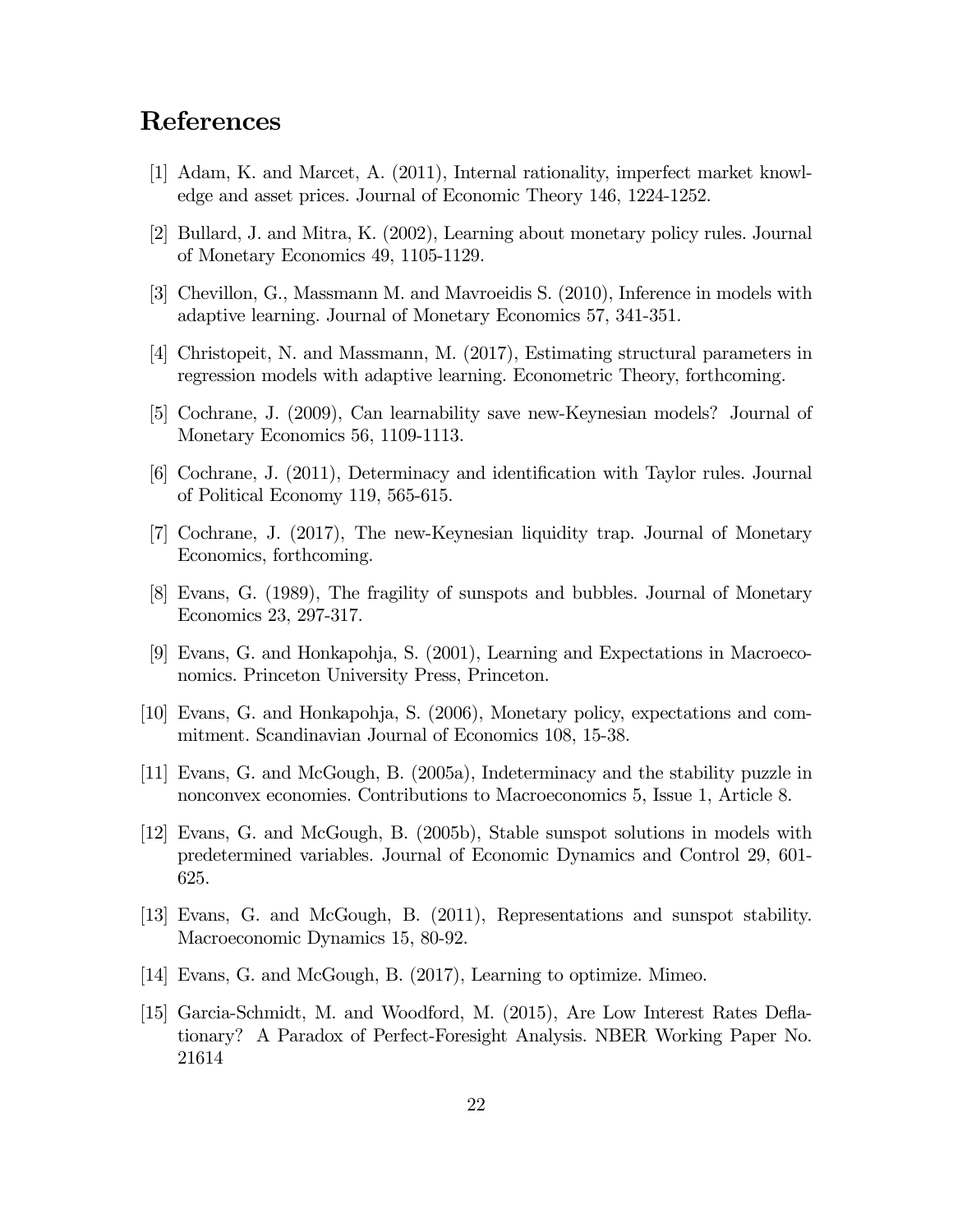## References

- [1] Adam, K. and Marcet, A. (2011), Internal rationality, imperfect market knowledge and asset prices. Journal of Economic Theory 146, 1224-1252.
- [2] Bullard, J. and Mitra, K. (2002), Learning about monetary policy rules. Journal of Monetary Economics 49, 1105-1129.
- [3] Chevillon, G., Massmann M. and Mavroeidis S. (2010), Inference in models with adaptive learning. Journal of Monetary Economics 57, 341-351.
- [4] Christopeit, N. and Massmann, M. (2017), Estimating structural parameters in regression models with adaptive learning. Econometric Theory, forthcoming.
- [5] Cochrane, J. (2009), Can learnability save new-Keynesian models? Journal of Monetary Economics 56, 1109-1113.
- [6] Cochrane, J. (2011), Determinacy and identification with Taylor rules. Journal of Political Economy 119, 565-615.
- [7] Cochrane, J. (2017), The new-Keynesian liquidity trap. Journal of Monetary Economics, forthcoming.
- [8] Evans, G. (1989), The fragility of sunspots and bubbles. Journal of Monetary Economics 23, 297-317.
- [9] Evans, G. and Honkapohja, S. (2001), Learning and Expectations in Macroeconomics. Princeton University Press, Princeton.
- [10] Evans, G. and Honkapohja, S. (2006), Monetary policy, expectations and commitment. Scandinavian Journal of Economics 108, 15-38.
- [11] Evans, G. and McGough, B. (2005a), Indeterminacy and the stability puzzle in nonconvex economies. Contributions to Macroeconomics 5, Issue 1, Article 8.
- [12] Evans, G. and McGough, B. (2005b), Stable sunspot solutions in models with predetermined variables. Journal of Economic Dynamics and Control 29, 601- 625.
- [13] Evans, G. and McGough, B. (2011), Representations and sunspot stability. Macroeconomic Dynamics 15, 80-92.
- [14] Evans, G. and McGough, B. (2017), Learning to optimize. Mimeo.
- [15] Garcia-Schmidt, M. and Woodford, M. (2015), Are Low Interest Rates Deflationary? A Paradox of Perfect-Foresight Analysis. NBER Working Paper No. 21614